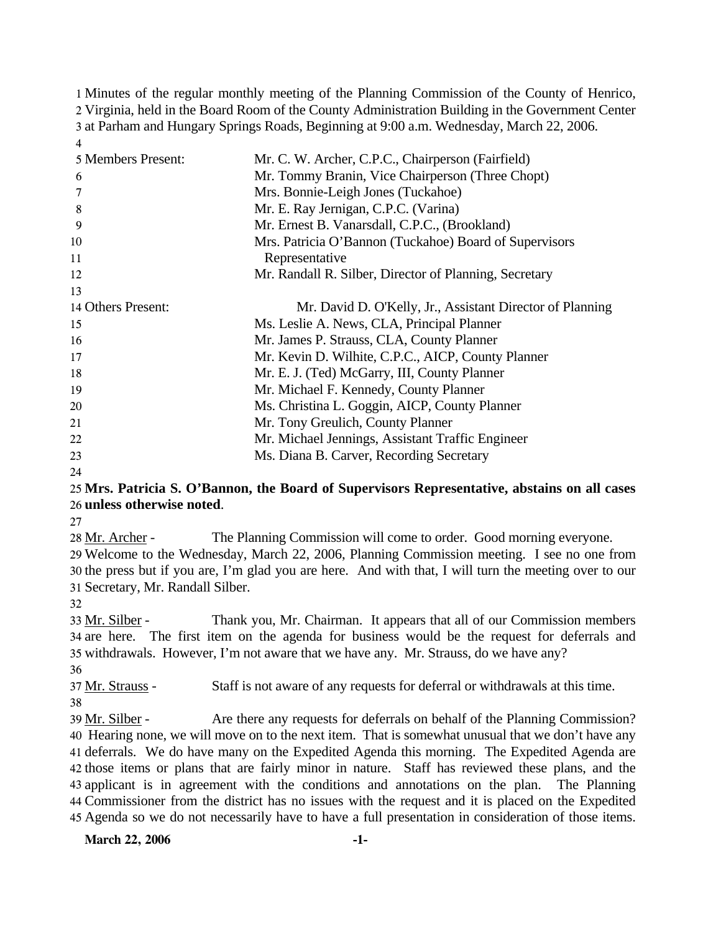Minutes of the regular monthly meeting of the Planning Commission of the County of Henrico, Virginia, held in the Board Room of the County Administration Building in the Government Center at Parham and Hungary Springs Roads, Beginning at 9:00 a.m. Wednesday, March 22, 2006. 4

| 5 Members Present: | Mr. C. W. Archer, C.P.C., Chairperson (Fairfield)         |
|--------------------|-----------------------------------------------------------|
| 6                  | Mr. Tommy Branin, Vice Chairperson (Three Chopt)          |
|                    | Mrs. Bonnie-Leigh Jones (Tuckahoe)                        |
| 8                  | Mr. E. Ray Jernigan, C.P.C. (Varina)                      |
| 9                  | Mr. Ernest B. Vanarsdall, C.P.C., (Brookland)             |
| 10                 | Mrs. Patricia O'Bannon (Tuckahoe) Board of Supervisors    |
| 11                 | Representative                                            |
| 12                 | Mr. Randall R. Silber, Director of Planning, Secretary    |
| 13                 |                                                           |
| 14 Others Present: | Mr. David D. O'Kelly, Jr., Assistant Director of Planning |
| 15                 | Ms. Leslie A. News, CLA, Principal Planner                |
| 16                 | Mr. James P. Strauss, CLA, County Planner                 |
| 17                 | Mr. Kevin D. Wilhite, C.P.C., AICP, County Planner        |
| 18                 | Mr. E. J. (Ted) McGarry, III, County Planner              |
| 19                 | Mr. Michael F. Kennedy, County Planner                    |
| 20                 | Ms. Christina L. Goggin, AICP, County Planner             |
| 21                 | Mr. Tony Greulich, County Planner                         |
| 22                 | Mr. Michael Jennings, Assistant Traffic Engineer          |
| 23                 | Ms. Diana B. Carver, Recording Secretary                  |
|                    |                                                           |

24

## 25 **Mrs. Patricia S. O'Bannon, the Board of Supervisors Representative, abstains on all cases**  26 **unless otherwise noted**.

27

28 Mr. Archer - The Planning Commission will come to order. Good morning everyone. 29 Welcome to the Wednesday, March 22, 2006, Planning Commission meeting. I see no one from

30 the press but if you are, I'm glad you are here. And with that, I will turn the meeting over to our 31 Secretary, Mr. Randall Silber.

32

Thank you, Mr. Chairman. It appears that all of our Commission members 34 are here. The first item on the agenda for business would be the request for deferrals and 35 withdrawals. However, I'm not aware that we have any. Mr. Strauss, do we have any? 33 Mr. Silber -

36

37 Mr. Strauss - Staff is not aware of any requests for deferral or withdrawals at this time.

38

Are there any requests for deferrals on behalf of the Planning Commission? 40 Hearing none, we will move on to the next item. That is somewhat unusual that we don't have any 41 deferrals. We do have many on the Expedited Agenda this morning. The Expedited Agenda are 42 those items or plans that are fairly minor in nature. Staff has reviewed these plans, and the 43 applicant is in agreement with the conditions and annotations on the plan. The Planning Commissioner from the district has no issues with the request and it is placed on the Expedited 44 45 Agenda so we do not necessarily have to have a full presentation in consideration of those items. 39 Mr. Silber -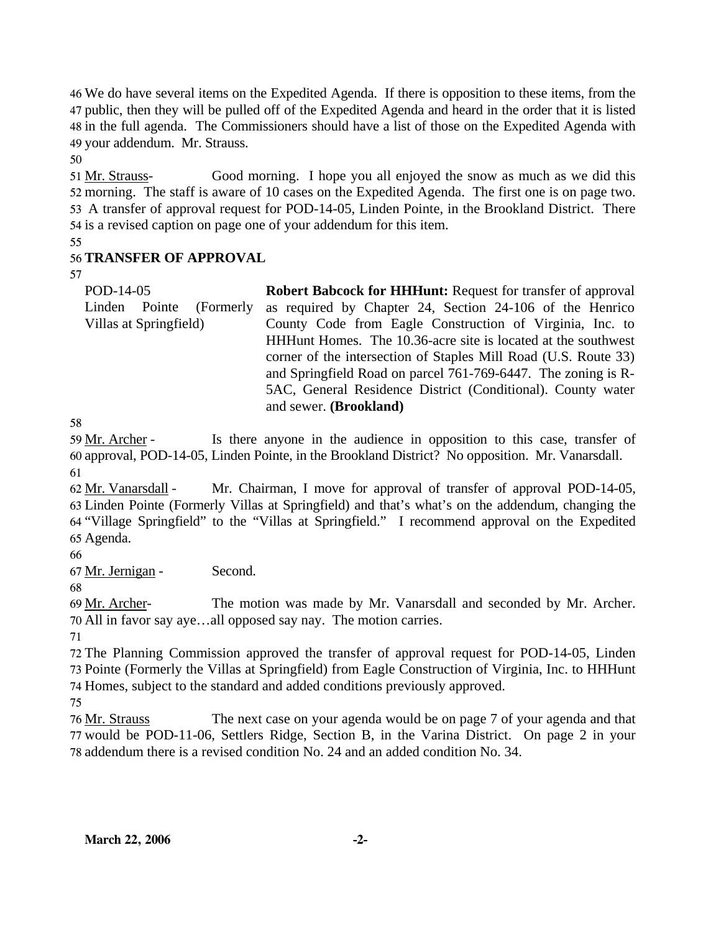We do have several items on the Expedited Agenda. If there is opposition to these items, from the public, then they will be pulled off of the Expedited Agenda and heard in the order that it is listed in the full agenda. The Commissioners should have a list of those on the Expedited Agenda with your addendum. Mr. Strauss.

50

Good morning. I hope you all enjoyed the snow as much as we did this 52 morning. The staff is aware of 10 cases on the Expedited Agenda. The first one is on page two. 53 A transfer of approval request for POD-14-05, Linden Pointe, in the Brookland District. There 54 is a revised caption on page one of your addendum for this item. 51 Mr. Strauss-

55

# 56 **TRANSFER OF APPROVAL**

57

POD-14-05 Linden Pointe (Formerly Villas at Springfield) **Robert Babcock for HHHunt:** Request for transfer of approval as required by Chapter 24, Section 24-106 of the Henrico County Code from Eagle Construction of Virginia, Inc. to HHHunt Homes. The 10.36-acre site is located at the southwest corner of the intersection of Staples Mill Road (U.S. Route 33) and Springfield Road on parcel 761-769-6447. The zoning is R-5AC, General Residence District (Conditional). County water and sewer. **(Brookland)** 

58

Is there anyone in the audience in opposition to this case, transfer of 60 approval, POD-14-05, Linden Pointe, in the Brookland District? No opposition. Mr. Vanarsdall. 59 Mr. Archer -61

Mr. Chairman, I move for approval of transfer of approval POD-14-05, Linden Pointe (Formerly Villas at Springfield) and that's what's on the addendum, changing the 63 64 "Village Springfield" to the "Villas at Springfield." I recommend approval on the Expedited 65 Agenda. 62 Mr. Vanarsdall -

66

67 Mr. Jernigan - Second.

68

The motion was made by Mr. Vanarsdall and seconded by Mr. Archer. All in favor say aye…all opposed say nay. The motion carries. 70 69 Mr. Archer-

71

72 The Planning Commission approved the transfer of approval request for POD-14-05, Linden 73 Pointe (Formerly the Villas at Springfield) from Eagle Construction of Virginia, Inc. to HHHunt 74 Homes, subject to the standard and added conditions previously approved.

75

The next case on your agenda would be on page 7 of your agenda and that 77 would be POD-11-06, Settlers Ridge, Section B, in the Varina District. On page 2 in your 78 addendum there is a revised condition No. 24 and an added condition No. 34. 76 Mr. Strauss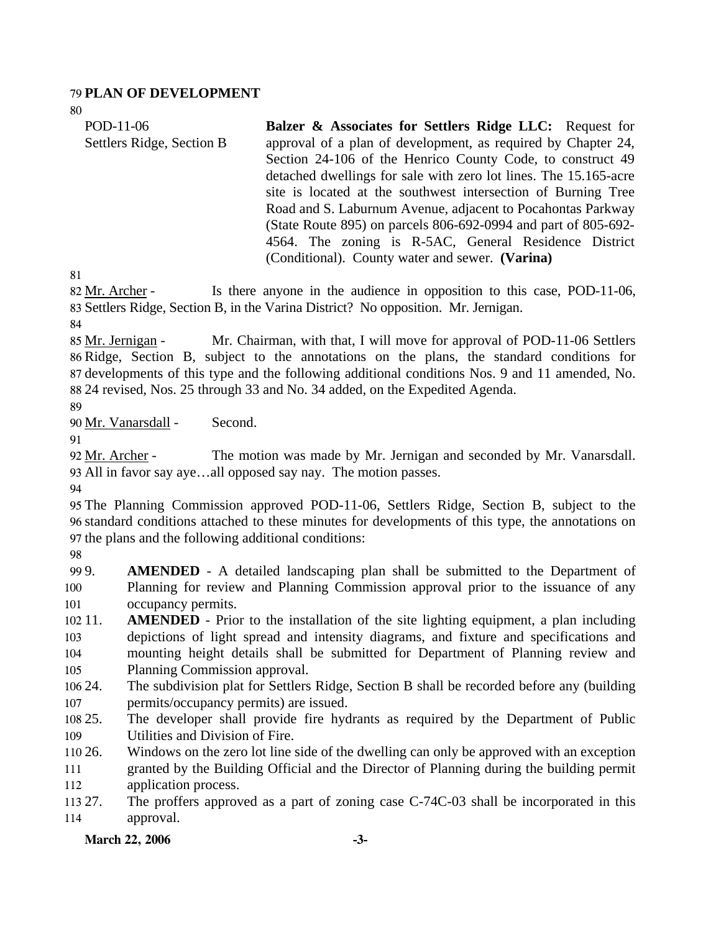#### 79 **PLAN OF DEVELOPMENT**

80

| POD-11-06                 | <b>Balzer &amp; Associates for Settlers Ridge LLC:</b> Request for |
|---------------------------|--------------------------------------------------------------------|
| Settlers Ridge, Section B | approval of a plan of development, as required by Chapter 24,      |
|                           | Section 24-106 of the Henrico County Code, to construct 49         |
|                           | detached dwellings for sale with zero lot lines. The 15.165-acre   |
|                           | site is located at the southwest intersection of Burning Tree      |
|                           | Road and S. Laburnum Avenue, adjacent to Pocahontas Parkway        |
|                           | (State Route 895) on parcels 806-692-0994 and part of 805-692-     |
|                           | 4564. The zoning is R-5AC, General Residence District              |
|                           | (Conditional). County water and sewer. (Varina)                    |

81

Is there anyone in the audience in opposition to this case, POD-11-06, 83 Settlers Ridge, Section B, in the Varina District? No opposition. Mr. Jernigan. 82 Mr. Archer -

84

Mr. Chairman, with that, I will move for approval of POD-11-06 Settlers 86 Ridge, Section B, subject to the annotations on the plans, the standard conditions for 87 developments of this type and the following additional conditions Nos. 9 and 11 amended, No. 24 revised, Nos. 25 through 33 and No. 34 added, on the Expedited Agenda. 88 85 Mr. Jernigan -

89

90 Mr. Vanarsdall - Second.

91

The motion was made by Mr. Jernigan and seconded by Mr. Vanarsdall. All in favor say aye…all opposed say nay. The motion passes. 93 92 Mr. Archer -

94

95 The Planning Commission approved POD-11-06, Settlers Ridge, Section B, subject to the 96 standard conditions attached to these minutes for developments of this type, the annotations on 97 the plans and the following additional conditions:

98

99. 100 101 **AMENDED** - A detailed landscaping plan shall be submitted to the Department of Planning for review and Planning Commission approval prior to the issuance of any occupancy permits.

- 102 11. 103 104 105 **AMENDED** - Prior to the installation of the site lighting equipment, a plan including depictions of light spread and intensity diagrams, and fixture and specifications and mounting height details shall be submitted for Department of Planning review and Planning Commission approval.
- 106 24. 107 The subdivision plat for Settlers Ridge, Section B shall be recorded before any (building permits/occupancy permits) are issued.
- 108 25. 109 25. The developer shall provide fire hydrants as required by the Department of Public Utilities and Division of Fire.
- 110 26. 111 112 Windows on the zero lot line side of the dwelling can only be approved with an exception granted by the Building Official and the Director of Planning during the building permit application process.
- 113 27. 114 The proffers approved as a part of zoning case C-74C-03 shall be incorporated in this approval.

March 22, 2006 -3-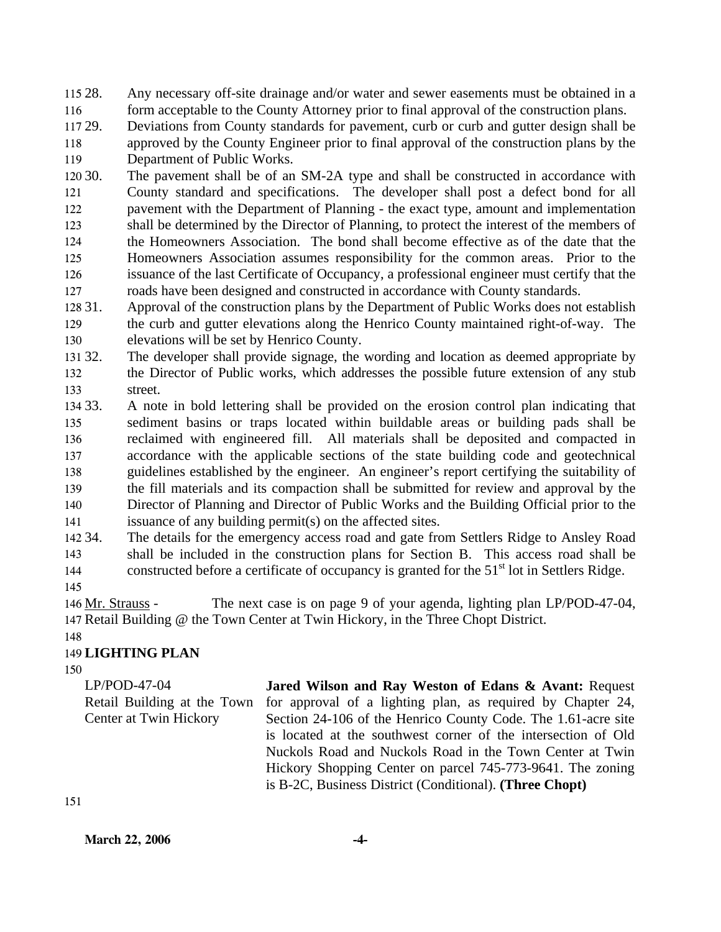115 28. 116 Any necessary off-site drainage and/or water and sewer easements must be obtained in a form acceptable to the County Attorney prior to final approval of the construction plans.

117 29. 118 Deviations from County standards for pavement, curb or curb and gutter design shall be approved by the County Engineer prior to final approval of the construction plans by the

119 Department of Public Works.

120 30. 121 122 123 124 125 126 127 The pavement shall be of an SM-2A type and shall be constructed in accordance with County standard and specifications. The developer shall post a defect bond for all pavement with the Department of Planning - the exact type, amount and implementation shall be determined by the Director of Planning, to protect the interest of the members of the Homeowners Association. The bond shall become effective as of the date that the Homeowners Association assumes responsibility for the common areas. Prior to the issuance of the last Certificate of Occupancy, a professional engineer must certify that the roads have been designed and constructed in accordance with County standards.

128 31 129 130 Approval of the construction plans by the Department of Public Works does not establish the curb and gutter elevations along the Henrico County maintained right-of-way. The elevations will be set by Henrico County.

131 32. 132 133 The developer shall provide signage, the wording and location as deemed appropriate by the Director of Public works, which addresses the possible future extension of any stub street.

134 33. 135 136 137 138 139 140 141 33. A note in bold lettering shall be provided on the erosion control plan indicating that sediment basins or traps located within buildable areas or building pads shall be reclaimed with engineered fill. All materials shall be deposited and compacted in accordance with the applicable sections of the state building code and geotechnical guidelines established by the engineer. An engineer's report certifying the suitability of the fill materials and its compaction shall be submitted for review and approval by the Director of Planning and Director of Public Works and the Building Official prior to the issuance of any building permit(s) on the affected sites.

142 34. 143 144 The details for the emergency access road and gate from Settlers Ridge to Ansley Road shall be included in the construction plans for Section B. This access road shall be constructed before a certificate of occupancy is granted for the  $51<sup>st</sup>$  lot in Settlers Ridge.

145

The next case is on page 9 of your agenda, lighting plan LP/POD-47-04, 147 Retail Building @ the Town Center at Twin Hickory, in the Three Chopt District. 146 Mr. Strauss -

# 148

# 149 **LIGHTING PLAN**

150

LP/POD-47-04 Retail Building at the Town Center at Twin Hickory **Jared Wilson and Ray Weston of Edans & Avant:** Request for approval of a lighting plan, as required by Chapter 24, Section 24-106 of the Henrico County Code. The 1.61-acre site is located at the southwest corner of the intersection of Old Nuckols Road and Nuckols Road in the Town Center at Twin Hickory Shopping Center on parcel 745-773-9641. The zoning is B-2C, Business District (Conditional). **(Three Chopt)** 

**March 22, 2006 -4-**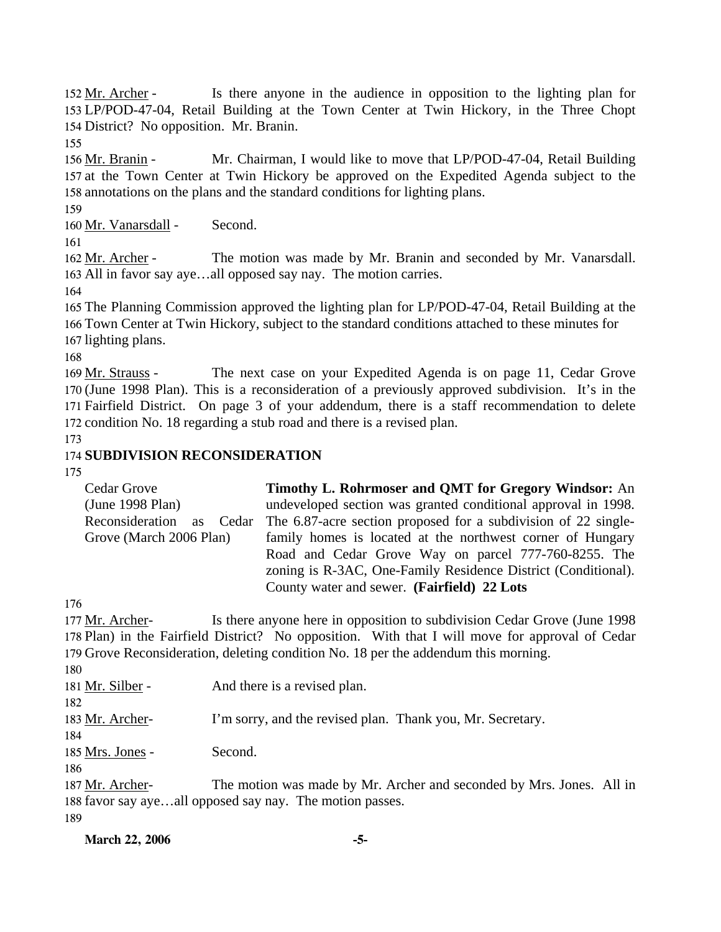Is there anyone in the audience in opposition to the lighting plan for LP/POD-47-04, Retail Building at the Town Center at Twin Hickory, in the Three Chopt 153 154 District? No opposition. Mr. Branin. 152 Mr. Archer -

155

Mr. Chairman, I would like to move that LP/POD-47-04, Retail Building 157 at the Town Center at Twin Hickory be approved on the Expedited Agenda subject to the 158 annotations on the plans and the standard conditions for lighting plans. 156 Mr. Branin -

159

160 Mr. Vanarsdall - Second.

161

The motion was made by Mr. Branin and seconded by Mr. Vanarsdall. 163 All in favor say aye...all opposed say nay. The motion carries. 162 Mr. Archer -

164

165 The Planning Commission approved the lighting plan for LP/POD-47-04, Retail Building at the 166 Town Center at Twin Hickory, subject to the standard conditions attached to these minutes for 167 lighting plans.

168

The next case on your Expedited Agenda is on page 11, Cedar Grove 170 (June 1998 Plan). This is a reconsideration of a previously approved subdivision. It's in the 171 Fairfield District. On page 3 of your addendum, there is a staff recommendation to delete 172 condition No. 18 regarding a stub road and there is a revised plan. 169 Mr. Strauss -

173

# 174 **SUBDIVISION RECONSIDERATION**

175

| Cedar Grove                 | <b>Timothy L. Rohrmoser and QMT for Gregory Windsor:</b> An    |
|-----------------------------|----------------------------------------------------------------|
| (June 1998 Plan)            | undeveloped section was granted conditional approval in 1998.  |
| Reconsideration<br>as Cedar | The 6.87-acre section proposed for a subdivision of 22 single- |
| Grove (March 2006 Plan)     | family homes is located at the northwest corner of Hungary     |
|                             | Road and Cedar Grove Way on parcel 777-760-8255. The           |
|                             | zoning is R-3AC, One-Family Residence District (Conditional).  |
|                             | County water and sewer. (Fairfield) 22 Lots                    |

176

Is there anyone here in opposition to subdivision Cedar Grove (June 1998) 178 Plan) in the Fairfield District? No opposition. With that I will move for approval of Cedar 179 Grove Reconsideration, deleting condition No. 18 per the addendum this morning. 177 Mr. Archer-

180

| .                |                                                                      |
|------------------|----------------------------------------------------------------------|
| 181 Mr. Silber - | And there is a revised plan.                                         |
| 182              |                                                                      |
| 183 Mr. Archer-  | I'm sorry, and the revised plan. Thank you, Mr. Secretary.           |
| 184              |                                                                      |
| 185 Mrs. Jones - | Second.                                                              |
| 186              |                                                                      |
| 187 Mr. Archer-  | The motion was made by Mr. Archer and seconded by Mrs. Jones. All in |

188 favor say aye...all opposed say nay. The motion passes.

189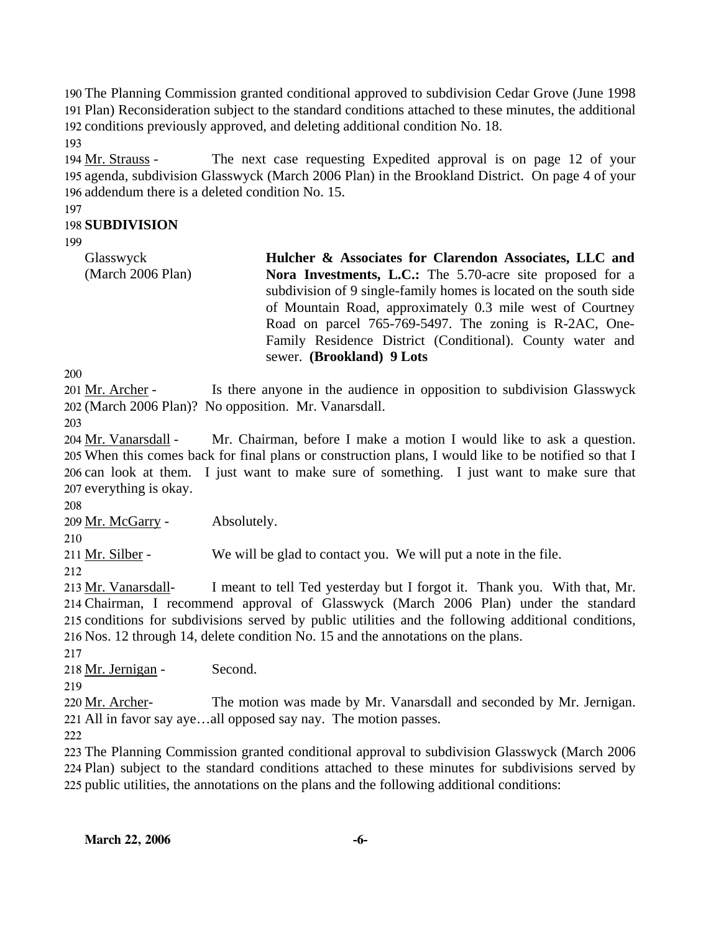190 The Planning Commission granted conditional approved to subdivision Cedar Grove (June 1998 191 Plan) Reconsideration subject to the standard conditions attached to these minutes, the additional 192 conditions previously approved, and deleting additional condition No. 18.

193

The next case requesting Expedited approval is on page 12 of your 195 agenda, subdivision Glasswyck (March 2006 Plan) in the Brookland District. On page 4 of your 196 addendum there is a deleted condition No. 15. 194 Mr. Strauss -

197

# 198 **SUBDIVISION**

199

| Glasswyck         | Hulcher & Associates for Clarendon Associates, LLC and            |
|-------------------|-------------------------------------------------------------------|
| (March 2006 Plan) | Nora Investments, L.C.: The 5.70-acre site proposed for a         |
|                   | subdivision of 9 single-family homes is located on the south side |
|                   | of Mountain Road, approximately 0.3 mile west of Courtney         |
|                   | Road on parcel 765-769-5497. The zoning is R-2AC, One-            |
|                   | Family Residence District (Conditional). County water and         |
|                   | sewer. (Brookland) 9 Lots                                         |

200

Is there anyone in the audience in opposition to subdivision Glasswyck (March 2006 Plan)? No opposition. Mr. Vanarsdall. 202 201 Mr. Archer -

203

Mr. Chairman, before I make a motion I would like to ask a question. When this comes back for final plans or construction plans, I would like to be notified so that I 205 206 can look at them. I just want to make sure of something. I just want to make sure that 207 everything is okay. 204 Mr. Vanarsdall -

208

210

209 Mr. McGarry - Absolutely.

211 Mr. Silber - We will be glad to contact you. We will put a note in the file.

212

I meant to tell Ted yesterday but I forgot it. Thank you. With that, Mr. Chairman, I recommend approval of Glasswyck (March 2006 Plan) under the standard 214 215 conditions for subdivisions served by public utilities and the following additional conditions, 216 Nos. 12 through 14, delete condition No. 15 and the annotations on the plans. 213 Mr. Vanarsdall-

217

218 Mr. Jernigan - Second.

219

The motion was made by Mr. Vanarsdall and seconded by Mr. Jernigan. All in favor say aye…all opposed say nay. The motion passes. 221 220 Mr. Archer-

222

223 The Planning Commission granted conditional approval to subdivision Glasswyck (March 2006 224 Plan) subject to the standard conditions attached to these minutes for subdivisions served by 225 public utilities, the annotations on the plans and the following additional conditions: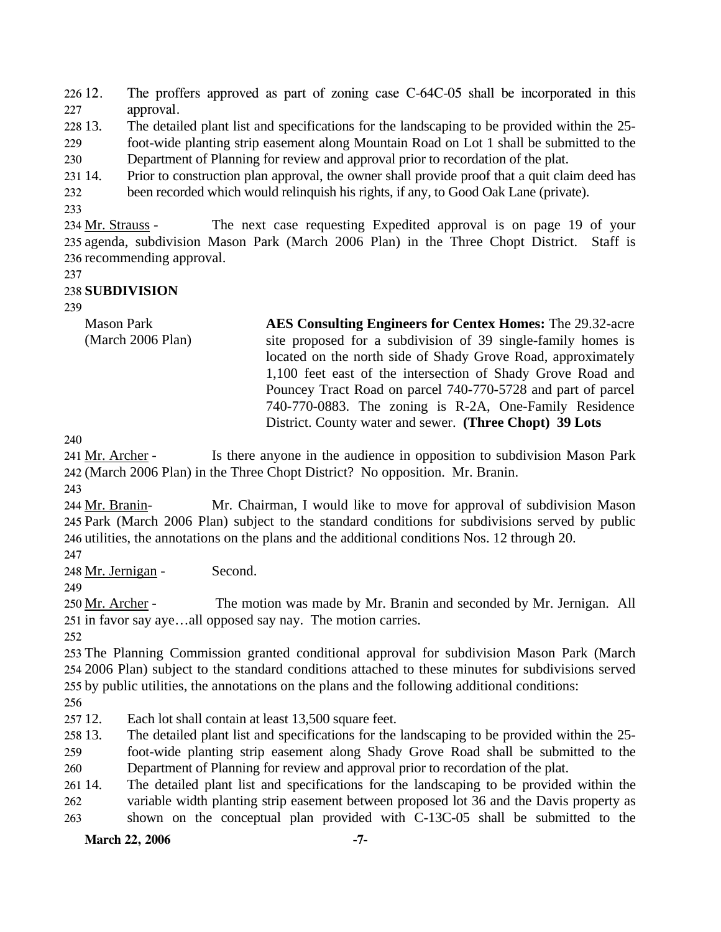$22612.$ 227 The proffers approved as part of zoning case C-64C-05 shall be incorporated in this approval.

228 13. 13. The detailed plant list and specifications for the landscaping to be provided within the 25-

229 230 foot-wide planting strip easement along Mountain Road on Lot 1 shall be submitted to the Department of Planning for review and approval prior to recordation of the plat.

231 14. Prior to construction plan approval, the owner shall provide proof that a quit claim deed has

232 been recorded which would relinquish his rights, if any, to Good Oak Lane (private).

233

The next case requesting Expedited approval is on page 19 of your 235 agenda, subdivision Mason Park (March 2006 Plan) in the Three Chopt District. Staff is 236 recommending approval. 234 Mr. Strauss -

237

## 238 **SUBDIVISION**

239

Mason Park (March 2006 Plan) **AES Consulting Engineers for Centex Homes:** The 29.32-acre site proposed for a subdivision of 39 single-family homes is located on the north side of Shady Grove Road, approximately 1,100 feet east of the intersection of Shady Grove Road and Pouncey Tract Road on parcel 740-770-5728 and part of parcel 740-770-0883. The zoning is R-2A, One-Family Residence District. County water and sewer. **(Three Chopt) 39 Lots** 

240

Is there anyone in the audience in opposition to subdivision Mason Park (March 2006 Plan) in the Three Chopt District? No opposition. Mr. Branin. 242 241 Mr. Archer -

243

Mr. Chairman, I would like to move for approval of subdivision Mason 245 Park (March 2006 Plan) subject to the standard conditions for subdivisions served by public 246 utilities, the annotations on the plans and the additional conditions Nos. 12 through 20. 244 Mr. Branin-

247

248 Mr. Jernigan - Second.

The motion was made by Mr. Branin and seconded by Mr. Jernigan. All 251 in favor say aye...all opposed say nay. The motion carries. 250 Mr. Archer -

252

253 The Planning Commission granted conditional approval for subdivision Mason Park (March 254 2006 Plan) subject to the standard conditions attached to these minutes for subdivisions served 255 by public utilities, the annotations on the plans and the following additional conditions:

256

257 12. Each lot shall contain at least 13,500 square feet.

258 13. 13. The detailed plant list and specifications for the landscaping to be provided within the 25-

259 260 foot-wide planting strip easement along Shady Grove Road shall be submitted to the Department of Planning for review and approval prior to recordation of the plat.

261 14. 262 The detailed plant list and specifications for the landscaping to be provided within the variable width planting strip easement between proposed lot 36 and the Davis property as

263 shown on the conceptual plan provided with C-13C-05 shall be submitted to the

## March 22, 2006 -7-

<sup>249</sup>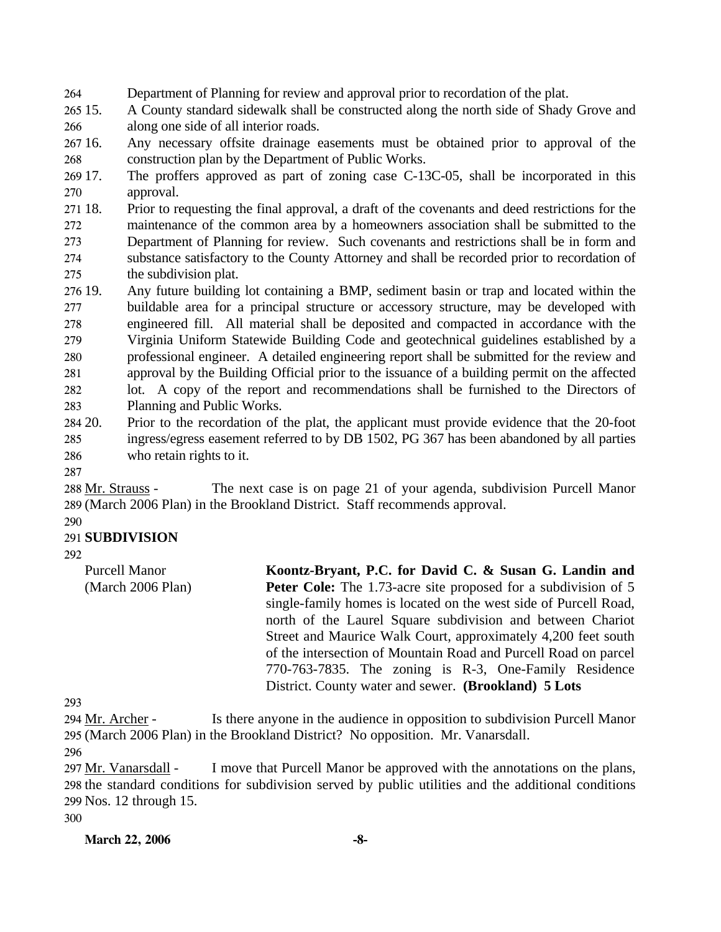264 Department of Planning for review and approval prior to recordation of the plat.

265 15. 266 15. A County standard sidewalk shall be constructed along the north side of Shady Grove and along one side of all interior roads.

267 16. 268 Any necessary offsite drainage easements must be obtained prior to approval of the construction plan by the Department of Public Works.

269 17. 270 The proffers approved as part of zoning case C-13C-05, shall be incorporated in this approval.

271 18. 272 273 274 275 18. Prior to requesting the final approval, a draft of the covenants and deed restrictions for the maintenance of the common area by a homeowners association shall be submitted to the Department of Planning for review. Such covenants and restrictions shall be in form and substance satisfactory to the County Attorney and shall be recorded prior to recordation of the subdivision plat.

276 19. 277 278 279 280 281 282 283 Any future building lot containing a BMP, sediment basin or trap and located within the buildable area for a principal structure or accessory structure, may be developed with engineered fill. All material shall be deposited and compacted in accordance with the Virginia Uniform Statewide Building Code and geotechnical guidelines established by a professional engineer. A detailed engineering report shall be submitted for the review and approval by the Building Official prior to the issuance of a building permit on the affected lot. A copy of the report and recommendations shall be furnished to the Directors of Planning and Public Works.

284 20. 285 286 20. Prior to the recordation of the plat, the applicant must provide evidence that the 20-foot ingress/egress easement referred to by DB 1502, PG 367 has been abandoned by all parties who retain rights to it.

287

The next case is on page 21 of your agenda, subdivision Purcell Manor (March 2006 Plan) in the Brookland District. Staff recommends approval. 289 288 Mr. Strauss -

#### 290 291 **SUBDIVISION**

 $292$ 

Purcell Manor (March 2006 Plan) **Koontz-Bryant, P.C. for David C. & Susan G. Landin and Peter Cole:** The 1.73-acre site proposed for a subdivision of 5 single-family homes is located on the west side of Purcell Road, north of the Laurel Square subdivision and between Chariot Street and Maurice Walk Court, approximately 4,200 feet south of the intersection of Mountain Road and Purcell Road on parcel 770-763-7835. The zoning is R-3, One-Family Residence District. County water and sewer. **(Brookland) 5 Lots** 

293

Is there anyone in the audience in opposition to subdivision Purcell Manor (March 2006 Plan) in the Brookland District? No opposition. Mr. Vanarsdall. 295 294 Mr. Archer -

296

I move that Purcell Manor be approved with the annotations on the plans, 298 the standard conditions for subdivision served by public utilities and the additional conditions Nos. 12 through 15. 299 297 Mr. Vanarsdall -

300

**March 22, 2006** -8-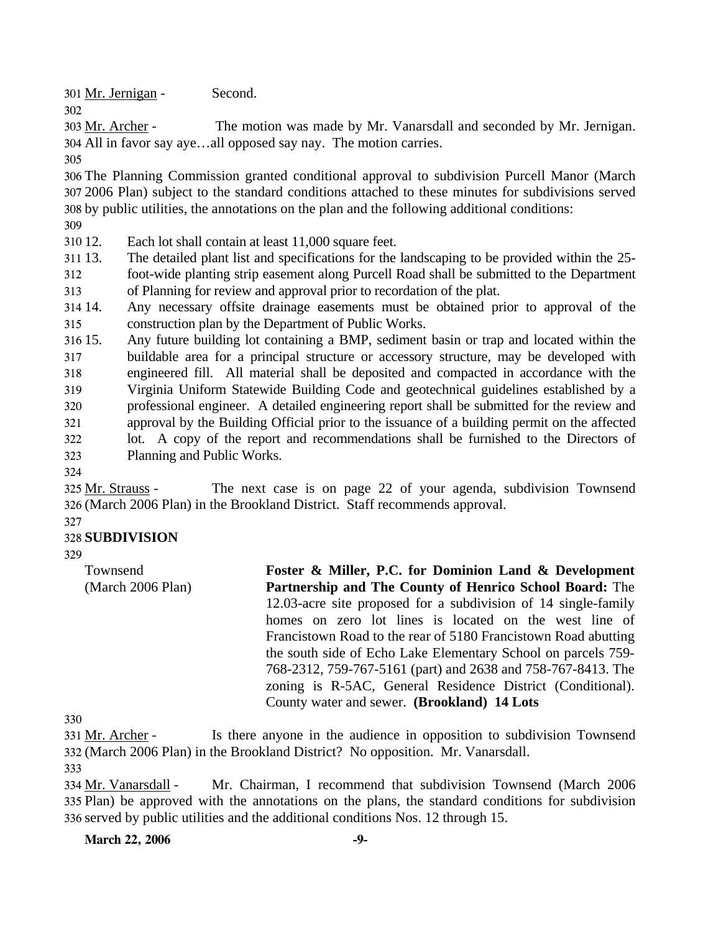301 Mr. Jernigan - Second.

The motion was made by Mr. Vanarsdall and seconded by Mr. Jernigan. All in favor say aye…all opposed say nay. The motion carries. 304 303 Mr. Archer -

305

302

306 The Planning Commission granted conditional approval to subdivision Purcell Manor (March 307 2006 Plan) subject to the standard conditions attached to these minutes for subdivisions served 308 by public utilities, the annotations on the plan and the following additional conditions:

309

310 12. Each lot shall contain at least 11,000 square feet.

311 13. The detailed plant list and specifications for the landscaping to be provided within the 25-

312 313 foot-wide planting strip easement along Purcell Road shall be submitted to the Department of Planning for review and approval prior to recordation of the plat.

314 315 14. Any necessary offsite drainage easements must be obtained prior to approval of the construction plan by the Department of Public Works.

316 15. 317 318 319 320 321 322 323 Any future building lot containing a BMP, sediment basin or trap and located within the buildable area for a principal structure or accessory structure, may be developed with engineered fill. All material shall be deposited and compacted in accordance with the Virginia Uniform Statewide Building Code and geotechnical guidelines established by a professional engineer. A detailed engineering report shall be submitted for the review and approval by the Building Official prior to the issuance of a building permit on the affected lot. A copy of the report and recommendations shall be furnished to the Directors of Planning and Public Works.

324

The next case is on page 22 of your agenda, subdivision Townsend (March 2006 Plan) in the Brookland District. Staff recommends approval. 326 325 Mr. Strauss -

## 327

## 328 **SUBDIVISION**

329

Townsend (March 2006 Plan) **Foster & Miller, P.C. for Dominion Land & Development Partnership and The County of Henrico School Board:** The 12.03-acre site proposed for a subdivision of 14 single-family homes on zero lot lines is located on the west line of Francistown Road to the rear of 5180 Francistown Road abutting the south side of Echo Lake Elementary School on parcels 759- 768-2312, 759-767-5161 (part) and 2638 and 758-767-8413. The zoning is R-5AC, General Residence District (Conditional). County water and sewer. **(Brookland) 14 Lots** 

330

Is there anyone in the audience in opposition to subdivision Townsend (March 2006 Plan) in the Brookland District? No opposition. Mr. Vanarsdall. 332 331 Mr. Archer -

333

Mr. Chairman, I recommend that subdivision Townsend (March 2006) Plan) be approved with the annotations on the plans, the standard conditions for subdivision 335 336 served by public utilities and the additional conditions Nos. 12 through 15. 334 Mr. Vanarsdall -

**March 22, 2006** -9-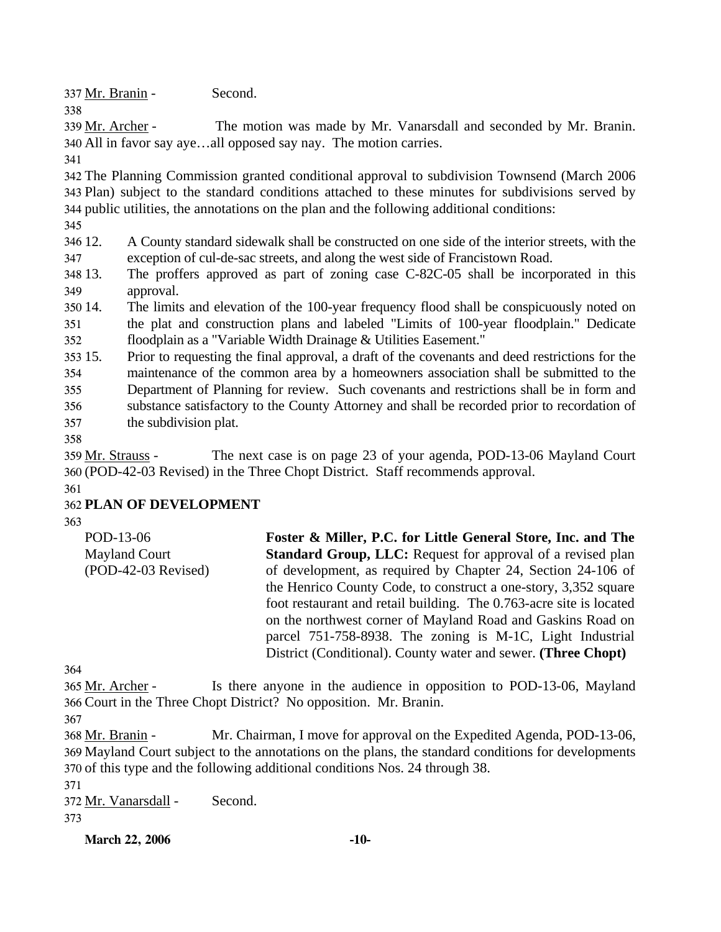337 Mr. Branin - Second.

The motion was made by Mr. Vanarsdall and seconded by Mr. Branin. All in favor say aye…all opposed say nay. The motion carries. 340 339 Mr. Archer -

341

338

342 The Planning Commission granted conditional approval to subdivision Townsend (March 2006 343 Plan) subject to the standard conditions attached to these minutes for subdivisions served by 344 public utilities, the annotations on the plan and the following additional conditions:

345

346 12. 347 12. A County standard sidewalk shall be constructed on one side of the interior streets, with the exception of cul-de-sac streets, and along the west side of Francistown Road.

348 13. 349 The proffers approved as part of zoning case C-82C-05 shall be incorporated in this approval.

350 14. 351 352 The limits and elevation of the 100-year frequency flood shall be conspicuously noted on the plat and construction plans and labeled "Limits of 100-year floodplain." Dedicate floodplain as a "Variable Width Drainage & Utilities Easement."

353 15. 354 355 356 357 15. Prior to requesting the final approval, a draft of the covenants and deed restrictions for the maintenance of the common area by a homeowners association shall be submitted to the Department of Planning for review. Such covenants and restrictions shall be in form and substance satisfactory to the County Attorney and shall be recorded prior to recordation of the subdivision plat.

358

The next case is on page 23 of your agenda, POD-13-06 Mayland Court (POD-42-03 Revised) in the Three Chopt District. Staff recommends approval. 360 359 Mr. Strauss -

361

# 362 **PLAN OF DEVELOPMENT**

363

| POD-13-06            | Foster & Miller, P.C. for Little General Store, Inc. and The        |
|----------------------|---------------------------------------------------------------------|
| <b>Mayland Court</b> | <b>Standard Group, LLC:</b> Request for approval of a revised plan  |
| (POD-42-03 Revised)  | of development, as required by Chapter 24, Section 24-106 of        |
|                      | the Henrico County Code, to construct a one-story, 3,352 square     |
|                      | foot restaurant and retail building. The 0.763-acre site is located |
|                      | on the northwest corner of Mayland Road and Gaskins Road on         |
|                      | parcel 751-758-8938. The zoning is M-1C, Light Industrial           |
|                      | District (Conditional). County water and sewer. (Three Chopt)       |

364

Is there anyone in the audience in opposition to POD-13-06, Mayland 366 Court in the Three Chopt District? No opposition. Mr. Branin. 365 Mr. Archer -

367

Mr. Chairman, I move for approval on the Expedited Agenda, POD-13-06, 369 Mayland Court subject to the annotations on the plans, the standard conditions for developments 370 of this type and the following additional conditions Nos. 24 through 38. 368 Mr. Branin -

371

372 Mr. Vanarsdall - Second.

373

**March 22, 2006 -10-**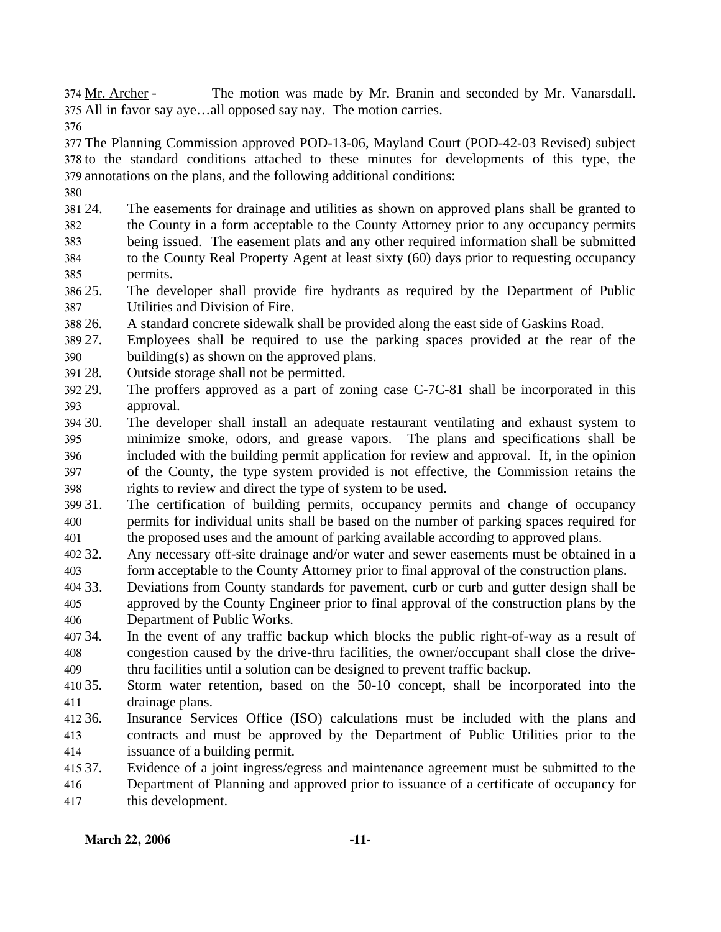The motion was made by Mr. Branin and seconded by Mr. Vanarsdall. 375 All in favor say aye...all opposed say nay. The motion carries. 374 Mr. Archer -

376

377 The Planning Commission approved POD-13-06, Mayland Court (POD-42-03 Revised) subject 378 to the standard conditions attached to these minutes for developments of this type, the 379 annotations on the plans, and the following additional conditions:

380

- 381 24. 382 383 384 24. The easements for drainage and utilities as shown on approved plans shall be granted to the County in a form acceptable to the County Attorney prior to any occupancy permits being issued. The easement plats and any other required information shall be submitted to the County Real Property Agent at least sixty (60) days prior to requesting occupancy
- 385 permits.
- 386 25. 387 The developer shall provide fire hydrants as required by the Department of Public Utilities and Division of Fire.
- 388 26. A standard concrete sidewalk shall be provided along the east side of Gaskins Road.
- 389 27. 390 Employees shall be required to use the parking spaces provided at the rear of the building(s) as shown on the approved plans.
- 391 28. Outside storage shall not be permitted.
- 392 29. 393 The proffers approved as a part of zoning case  $C$ -7C-81 shall be incorporated in this approval.
- 30. 395 396 397 398 The developer shall install an adequate restaurant ventilating and exhaust system to minimize smoke, odors, and grease vapors. The plans and specifications shall be included with the building permit application for review and approval. If, in the opinion of the County, the type system provided is not effective, the Commission retains the rights to review and direct the type of system to be used.
- 399 31. 400 401 The certification of building permits, occupancy permits and change of occupancy permits for individual units shall be based on the number of parking spaces required for the proposed uses and the amount of parking available according to approved plans.
- 402.32. 403 Any necessary off-site drainage and/or water and sewer easements must be obtained in a form acceptable to the County Attorney prior to final approval of the construction plans.
- 404 33. 405 406 Deviations from County standards for pavement, curb or curb and gutter design shall be approved by the County Engineer prior to final approval of the construction plans by the Department of Public Works.
- 407 34. 408 409 In the event of any traffic backup which blocks the public right-of-way as a result of congestion caused by the drive-thru facilities, the owner/occupant shall close the drivethru facilities until a solution can be designed to prevent traffic backup.
- 410 35. 411 35. Storm water retention, based on the 50-10 concept, shall be incorporated into the drainage plans.
- 412 36. 413 414 Insurance Services Office (ISO) calculations must be included with the plans and contracts and must be approved by the Department of Public Utilities prior to the issuance of a building permit.
- 415 37 416 417 Evidence of a joint ingress/egress and maintenance agreement must be submitted to the Department of Planning and approved prior to issuance of a certificate of occupancy for this development.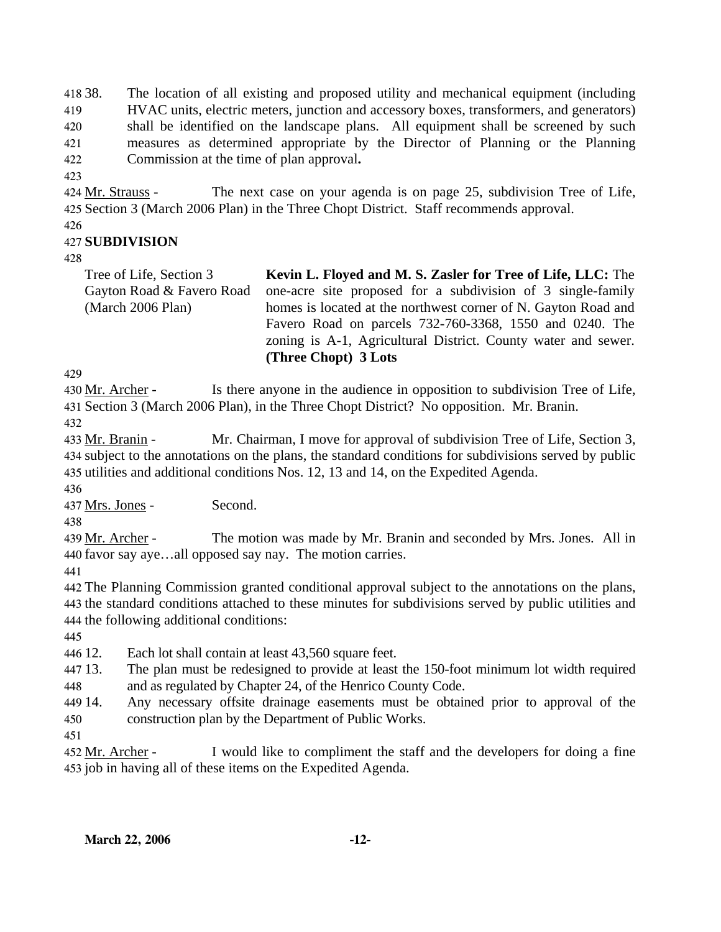418 38. 419 420 421 422 The location of all existing and proposed utility and mechanical equipment (including HVAC units, electric meters, junction and accessory boxes, transformers, and generators) shall be identified on the landscape plans. All equipment shall be screened by such measures as determined appropriate by the Director of Planning or the Planning Commission at the time of plan approval**.**

423

The next case on your agenda is on page 25, subdivision Tree of Life, 425 Section 3 (March 2006 Plan) in the Three Chopt District. Staff recommends approval. 424 Mr. Strauss -

426

# 427 **SUBDIVISION**

428

| Tree of Life, Section 3   | Kevin L. Floyed and M. S. Zasler for Tree of Life, LLC: The    |
|---------------------------|----------------------------------------------------------------|
| Gayton Road & Favero Road | one-acre site proposed for a subdivision of 3 single-family    |
| (March 2006 Plan)         | homes is located at the northwest corner of N. Gayton Road and |
|                           | Favero Road on parcels 732-760-3368, 1550 and 0240. The        |
|                           | zoning is A-1, Agricultural District. County water and sewer.  |
|                           | (Three Chopt) 3 Lots                                           |

429

Is there anyone in the audience in opposition to subdivision Tree of Life, 431 Section 3 (March 2006 Plan), in the Three Chopt District? No opposition. Mr. Branin. 430 Mr. Archer -432

Mr. Chairman, I move for approval of subdivision Tree of Life, Section 3, 434 subject to the annotations on the plans, the standard conditions for subdivisions served by public 435 utilities and additional conditions Nos. 12, 13 and 14, on the Expedited Agenda. 433 Mr. Branin -

436

437 Mrs. Jones - Second.

438

The motion was made by Mr. Branin and seconded by Mrs. Jones. All in 440 favor say aye...all opposed say nay. The motion carries. 439 Mr. Archer -

441

442 The Planning Commission granted conditional approval subject to the annotations on the plans, 443 the standard conditions attached to these minutes for subdivisions served by public utilities and 444 the following additional conditions:

445

446 12. Each lot shall contain at least 43,560 square feet.

447 13. 448 The plan must be redesigned to provide at least the 150-foot minimum lot width required and as regulated by Chapter 24, of the Henrico County Code.

449 14. 450 Any necessary offsite drainage easements must be obtained prior to approval of the construction plan by the Department of Public Works.

451

I would like to compliment the staff and the developers for doing a fine 453 job in having all of these items on the Expedited Agenda. 452 Mr. Archer -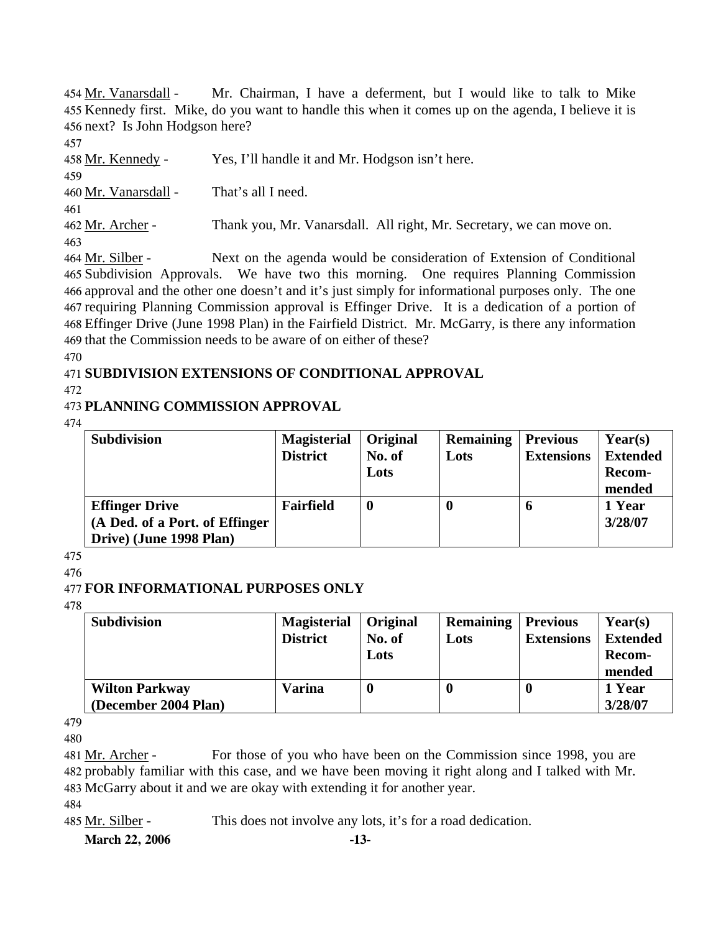Mr. Chairman, I have a deferment, but I would like to talk to Mike 455 Kennedy first. Mike, do you want to handle this when it comes up on the agenda, I believe it is 456 next? Is John Hodgson here? 454 Mr. Vanarsdall -

457

458 Mr. Kennedy - Yes, I'll handle it and Mr. Hodgson isn't here. 459 460 Mr. Vanarsdall - That's all I need. 461 462 Mr. Archer - Thank you, Mr. Vanarsdall. All right, Mr. Secretary, we can move on. 463 Next on the agenda would be consideration of Extension of Conditional 464 Mr. Silber -

465 Subdivision Approvals. We have two this morning. One requires Planning Commission 466 approval and the other one doesn't and it's just simply for informational purposes only. The one 467 requiring Planning Commission approval is Effinger Drive. It is a dedication of a portion of Effinger Drive (June 1998 Plan) in the Fairfield District. Mr. McGarry, is there any information 468 469 that the Commission needs to be aware of on either of these?

470

# 471 **SUBDIVISION EXTENSIONS OF CONDITIONAL APPROVAL**

#### 472

# 473 **PLANNING COMMISSION APPROVAL**

474

| <b>Subdivision</b>             | <b>Magisterial</b> | Original         | <b>Remaining</b> | <b>Previous</b>   | $\text{Year}(s)$ |
|--------------------------------|--------------------|------------------|------------------|-------------------|------------------|
|                                | <b>District</b>    | No. of           | Lots             | <b>Extensions</b> | <b>Extended</b>  |
|                                |                    | Lots             |                  |                   | Recom-           |
|                                |                    |                  |                  |                   | mended           |
| <b>Effinger Drive</b>          | Fairfield          | $\boldsymbol{0}$ | -0               | O                 | 1 Year           |
| (A Ded. of a Port. of Effinger |                    |                  |                  |                   | 3/28/07          |
| Drive) (June 1998 Plan)        |                    |                  |                  |                   |                  |

475

## 476

# 477 **FOR INFORMATIONAL PURPOSES ONLY**

478

| <b>Subdivision</b>    | <b>Magisterial</b> | Original | <b>Remaining</b> | <b>Previous</b>   | Year(s)         |
|-----------------------|--------------------|----------|------------------|-------------------|-----------------|
|                       | <b>District</b>    | No. of   | Lots             | <b>Extensions</b> | <b>Extended</b> |
|                       |                    | Lots     |                  |                   | <b>Recom-</b>   |
|                       |                    |          |                  |                   | mended          |
| <b>Wilton Parkway</b> | <b>Varina</b>      |          |                  |                   | 1 Year          |
| (December 2004 Plan)  |                    |          |                  |                   | 3/28/07         |

479

480

For those of you who have been on the Commission since 1998, you are 482 probably familiar with this case, and we have been moving it right along and I talked with Mr. 483 McGarry about it and we are okay with extending it for another year. 481 Mr. Archer -

484

485 Mr. Silber - This does not involve any lots, it's for a road dedication.

**March 22, 2006 -13-**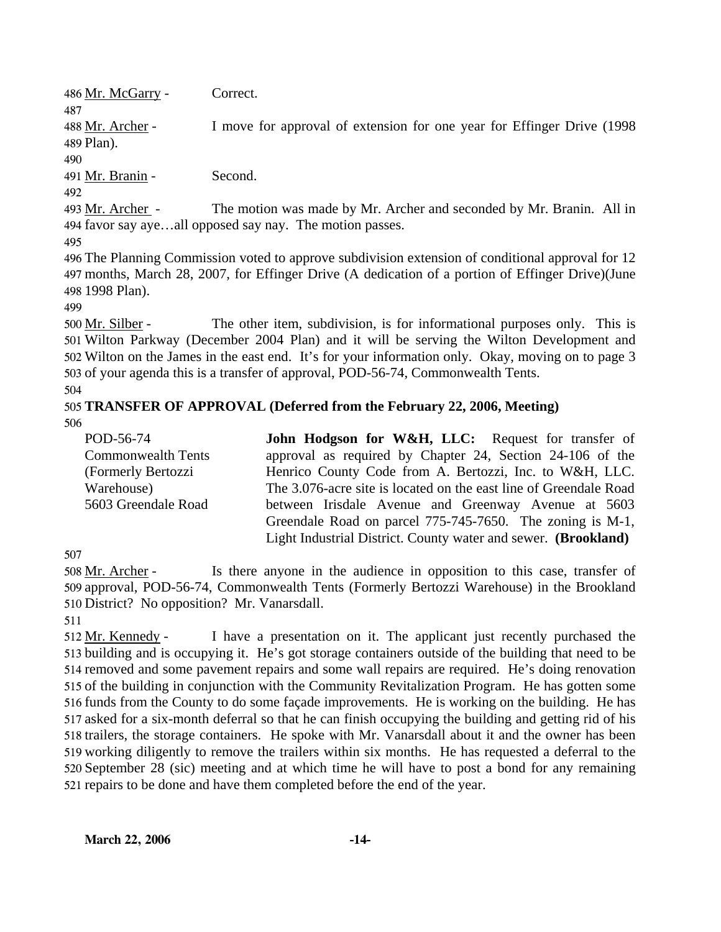486 Mr. McGarry - Correct. 487 I move for approval of extension for one year for Effinger Drive (1998) 489 Plan). 488 Mr. Archer -490 491 Mr. Branin - Second. 492 The motion was made by Mr. Archer and seconded by Mr. Branin. All in 494 favor say aye...all opposed say nay. The motion passes. 493 Mr. Archer -495 496 The Planning Commission voted to approve subdivision extension of conditional approval for 12

497 months, March 28, 2007, for Effinger Drive (A dedication of a portion of Effinger Drive)(June 498 1998 Plan).

499

The other item, subdivision, is for informational purposes only. This is 501 Wilton Parkway (December 2004 Plan) and it will be serving the Wilton Development and 502 Wilton on the James in the east end. It's for your information only. Okay, moving on to page 3 503 of your agenda this is a transfer of approval, POD-56-74, Commonwealth Tents. 500 Mr. Silber -

#### 504 505 **TRANSFER OF APPROVAL (Deferred from the February 22, 2006, Meeting)**  506

| POD-56-74                 | <b>John Hodgson for W&amp;H, LLC:</b> Request for transfer of     |
|---------------------------|-------------------------------------------------------------------|
| <b>Commonwealth Tents</b> | approval as required by Chapter 24, Section 24-106 of the         |
| (Formerly Bertozzi        | Henrico County Code from A. Bertozzi, Inc. to W&H, LLC.           |
| Warehouse)                | The 3.076-acre site is located on the east line of Greendale Road |
| 5603 Greendale Road       | between Irisdale Avenue and Greenway Avenue at 5603               |
|                           | Greendale Road on parcel 775-745-7650. The zoning is M-1,         |
|                           | Light Industrial District. County water and sewer. (Brookland)    |

507

Is there anyone in the audience in opposition to this case, transfer of 509 approval, POD-56-74, Commonwealth Tents (Formerly Bertozzi Warehouse) in the Brookland 510 District? No opposition? Mr. Vanarsdall. 508 Mr. Archer -

511

I have a presentation on it. The applicant just recently purchased the 513 building and is occupying it. He's got storage containers outside of the building that need to be 514 removed and some pavement repairs and some wall repairs are required. He's doing renovation 515 of the building in conjunction with the Community Revitalization Program. He has gotten some 516 funds from the County to do some façade improvements. He is working on the building. He has 517 asked for a six-month deferral so that he can finish occupying the building and getting rid of his 518 trailers, the storage containers. He spoke with Mr. Vanarsdall about it and the owner has been 519 working diligently to remove the trailers within six months. He has requested a deferral to the 520 September 28 (sic) meeting and at which time he will have to post a bond for any remaining 521 repairs to be done and have them completed before the end of the year. 512 Mr. Kennedy -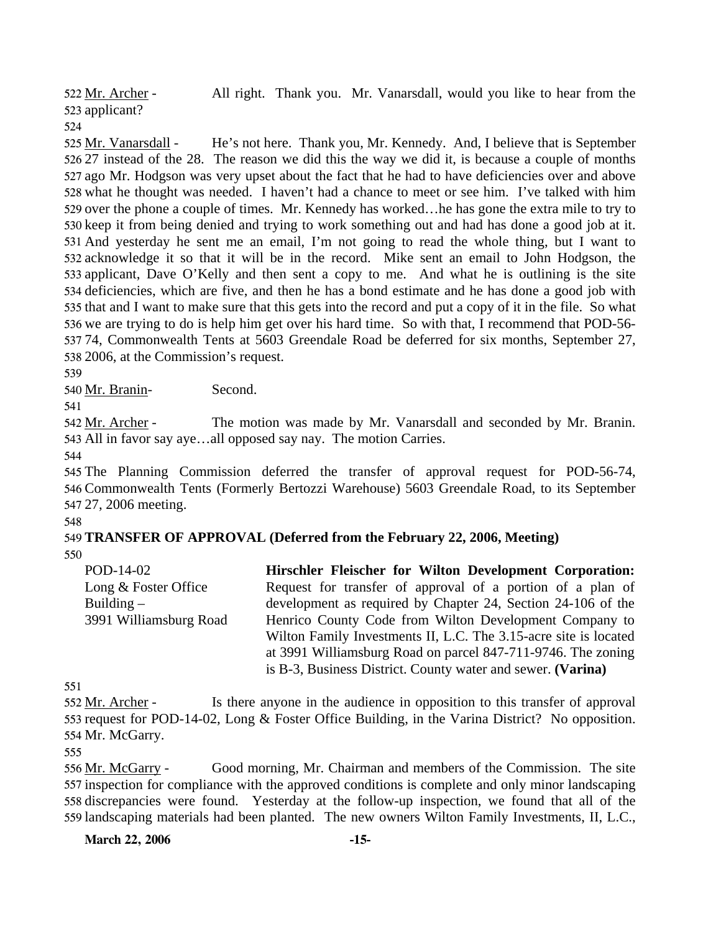All right. Thank you. Mr. Vanarsdall, would you like to hear from the 523 applicant? 522 Mr. Archer -524

He's not here. Thank you, Mr. Kennedy. And, I believe that is September 526 27 instead of the 28. The reason we did this the way we did it, is because a couple of months 527 ago Mr. Hodgson was very upset about the fact that he had to have deficiencies over and above 528 what he thought was needed. I haven't had a chance to meet or see him. I've talked with him 529 over the phone a couple of times. Mr. Kennedy has worked... he has gone the extra mile to try to 530 keep it from being denied and trying to work something out and had has done a good job at it. 531 And yesterday he sent me an email, I'm not going to read the whole thing, but I want to 532 acknowledge it so that it will be in the record. Mike sent an email to John Hodgson, the 533 applicant, Dave O'Kelly and then sent a copy to me. And what he is outlining is the site 534 deficiencies, which are five, and then he has a bond estimate and he has done a good job with 535 that and I want to make sure that this gets into the record and put a copy of it in the file. So what 536 we are trying to do is help him get over his hard time. So with that, I recommend that POD-56-74, Commonwealth Tents at 5603 Greendale Road be deferred for six months, September 27, 537 538 2006, at the Commission's request. 525 Mr. Vanarsdall -

539

540 Mr. Branin- Second.

541

The motion was made by Mr. Vanarsdall and seconded by Mr. Branin. 543 All in favor say aye...all opposed say nay. The motion Carries. 542 Mr. Archer -

544

545 The Planning Commission deferred the transfer of approval request for POD-56-74, 546 Commonwealth Tents (Formerly Bertozzi Warehouse) 5603 Greendale Road, to its September 547 27, 2006 meeting.

548

# 549 **TRANSFER OF APPROVAL (Deferred from the February 22, 2006, Meeting)**

550

POD-14-02 Long & Foster Office Building – 3991 Williamsburg Road **Hirschler Fleischer for Wilton Development Corporation:**  Request for transfer of approval of a portion of a plan of development as required by Chapter 24, Section 24-106 of the Henrico County Code from Wilton Development Company to Wilton Family Investments II, L.C. The 3.15-acre site is located at 3991 Williamsburg Road on parcel 847-711-9746. The zoning is B-3, Business District. County water and sewer. **(Varina)** 

551

Is there anyone in the audience in opposition to this transfer of approval 553 request for POD-14-02, Long & Foster Office Building, in the Varina District? No opposition. 554 Mr. McGarry. 552 Mr. Archer -

555

Good morning, Mr. Chairman and members of the Commission. The site 557 inspection for compliance with the approved conditions is complete and only minor landscaping 558 discrepancies were found. Yesterday at the follow-up inspection, we found that all of the 559 landscaping materials had been planted. The new owners Wilton Family Investments, II, L.C., 556 Mr. McGarry -

**March 22, 2006 -15-**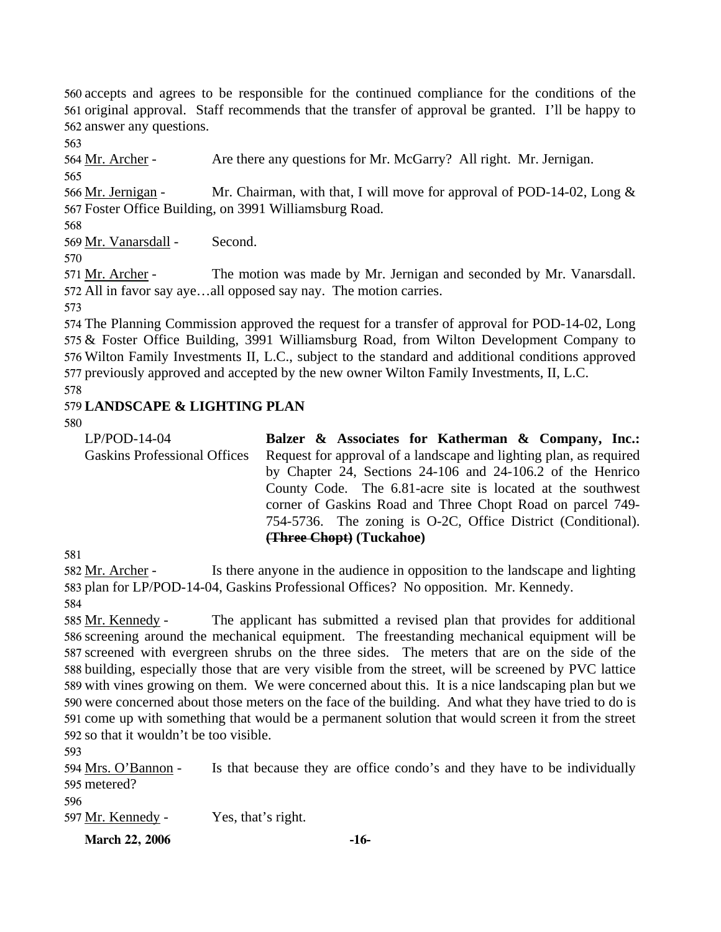560 accepts and agrees to be responsible for the continued compliance for the conditions of the 561 original approval. Staff recommends that the transfer of approval be granted. I'll be happy to 562 answer any questions.

563

564 Mr. Archer - Are there any questions for Mr. McGarry? All right. Mr. Jernigan. 565

Mr. Chairman, with that, I will move for approval of POD-14-02, Long  $\&$ 567 Foster Office Building, on 3991 Williamsburg Road. 566 Mr. Jernigan -

568

569 Mr. Vanarsdall - Second.

570

The motion was made by Mr. Jernigan and seconded by Mr. Vanarsdall. 572 All in favor say aye...all opposed say nay. The motion carries. 571 Mr. Archer -

573

 The Planning Commission approved the request for a transfer of approval for POD-14-02, Long & Foster Office Building, 3991 Williamsburg Road, from Wilton Development Company to Wilton Family Investments II, L.C., subject to the standard and additional conditions approved previously approved and accepted by the new owner Wilton Family Investments, II, L.C. 578

579 **LANDSCAPE & LIGHTING PLAN** 

#### 580 LP/POD-14-04 Gaskins Professional Offices **Balzer & Associates for Katherman & Company, Inc.:**  Request for approval of a landscape and lighting plan, as required by Chapter 24, Sections 24-106 and 24-106.2 of the Henrico County Code. The 6.81-acre site is located at the southwest corner of Gaskins Road and Three Chopt Road on parcel 749- 754-5736. The zoning is O-2C, Office District (Conditional). **(Three Chopt) (Tuckahoe)**

581

Is there anyone in the audience in opposition to the landscape and lighting 583 plan for LP/POD-14-04, Gaskins Professional Offices? No opposition. Mr. Kennedy. 582 Mr. Archer -584

The applicant has submitted a revised plan that provides for additional 586 screening around the mechanical equipment. The freestanding mechanical equipment will be 587 screened with evergreen shrubs on the three sides. The meters that are on the side of the 588 building, especially those that are very visible from the street, will be screened by PVC lattice 589 with vines growing on them. We were concerned about this. It is a nice landscaping plan but we 590 were concerned about those meters on the face of the building. And what they have tried to do is 591 come up with something that would be a permanent solution that would screen it from the street 592 so that it wouldn't be too visible. 585 Mr. Kennedy -

593

Is that because they are office condo's and they have to be individually 595 metered? 594 Mrs. O'Bannon -

596

597 Mr. Kennedy - Yes, that's right.

**March 22, 2006 -16-**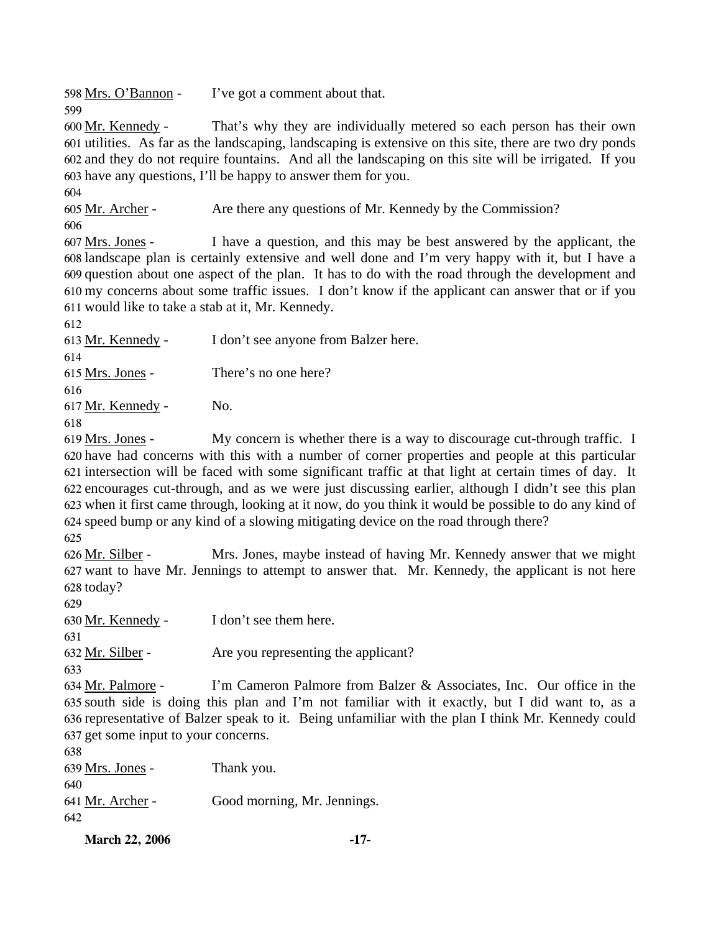598 <u>Mrs. O'Bannon</u> - I've got a comment about that.

That's why they are individually metered so each person has their own 601 utilities. As far as the landscaping, landscaping is extensive on this site, there are two dry ponds and they do not require fountains. And all the landscaping on this site will be irrigated. If you 602 603 have any questions, I'll be happy to answer them for you. 600 Mr. Kennedy -

604

599

605 Mr. Archer - Are there any questions of Mr. Kennedy by the Commission? 606

I have a question, and this may be best answered by the applicant, the 608 landscape plan is certainly extensive and well done and I'm very happy with it, but I have a 609 question about one aspect of the plan. It has to do with the road through the development and my concerns about some traffic issues. I don't know if the applicant can answer that or if you 610 611 would like to take a stab at it, Mr. Kennedy. 607 Mrs. Jones -

612

613 Mr. Kennedy - I don't see anyone from Balzer here. 614 615 Mrs. Jones - There's no one here? 616 617 Mr. Kennedy - No. 618

My concern is whether there is a way to discourage cut-through traffic. I 620 have had concerns with this with a number of corner properties and people at this particular 621 intersection will be faced with some significant traffic at that light at certain times of day. It encourages cut-through, and as we were just discussing earlier, although I didn't see this plan 622 623 when it first came through, looking at it now, do you think it would be possible to do any kind of 624 speed bump or any kind of a slowing mitigating device on the road through there? 619 Mrs. Jones -

625

Mrs. Jones, maybe instead of having Mr. Kennedy answer that we might 627 want to have Mr. Jennings to attempt to answer that. Mr. Kennedy, the applicant is not here 628 today? 626 Mr. Silber -

629

630 Mr. Kennedy - I don't see them here.

631

632 Mr. Silber - Are you representing the applicant?

633

I'm Cameron Palmore from Balzer & Associates, Inc. Our office in the 635 south side is doing this plan and I'm not familiar with it exactly, but I did want to, as a 636 representative of Balzer speak to it. Being unfamiliar with the plan I think Mr. Kennedy could 637 get some input to your concerns. 634 Mr. Palmore -

638

639 Mrs. Jones - Thank you. 640 641 <u>Mr. Archer</u> - Good morning, Mr. Jennings. 642

**March 22, 2006 -17-**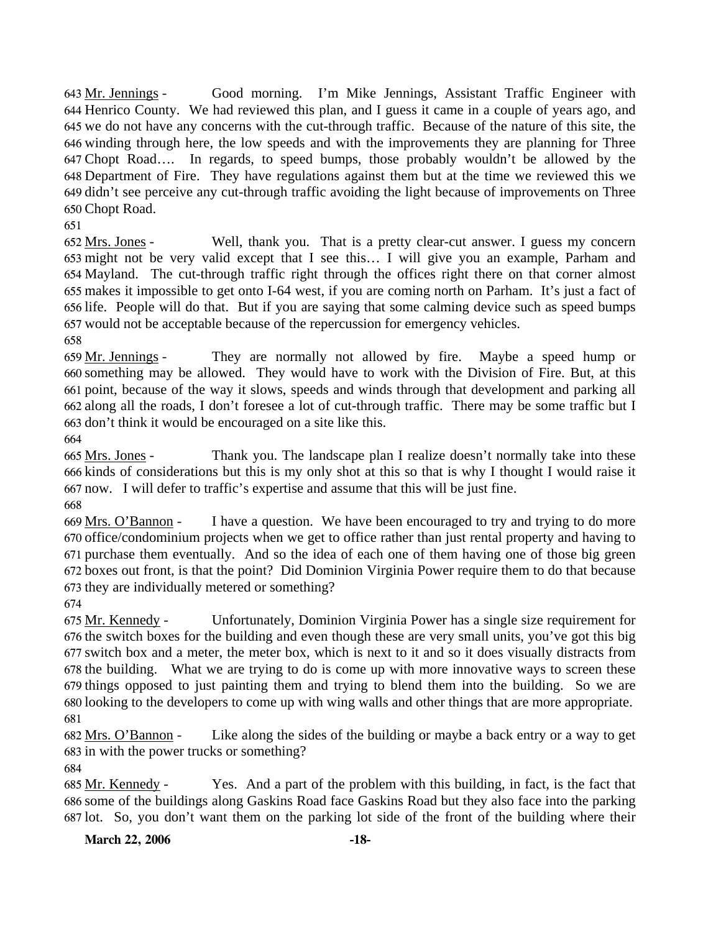Good morning. I'm Mike Jennings, Assistant Traffic Engineer with 644 Henrico County. We had reviewed this plan, and I guess it came in a couple of years ago, and 645 we do not have any concerns with the cut-through traffic. Because of the nature of this site, the 646 winding through here, the low speeds and with the improvements they are planning for Three Chopt Road…. In regards, to speed bumps, those probably wouldn't be allowed by the 647 Department of Fire. They have regulations against them but at the time we reviewed this we 648 649 didn't see perceive any cut-through traffic avoiding the light because of improvements on Three Chopt Road. 650 643 Mr. Jennings -

651

Well, thank you. That is a pretty clear-cut answer. I guess my concern 653 might not be very valid except that I see this... I will give you an example, Parham and 654 Mayland. The cut-through traffic right through the offices right there on that corner almost makes it impossible to get onto I-64 west, if you are coming north on Parham. It's just a fact of 655 656 life. People will do that. But if you are saying that some calming device such as speed bumps 657 would not be acceptable because of the repercussion for emergency vehicles.  $652$  Mrs. Jones -

658

They are normally not allowed by fire. Maybe a speed hump or 660 something may be allowed. They would have to work with the Division of Fire. But, at this 661 point, because of the way it slows, speeds and winds through that development and parking all 662 along all the roads, I don't foresee a lot of cut-through traffic. There may be some traffic but I 663 don't think it would be encouraged on a site like this. 659 Mr. Jennings -

664

Thank you. The landscape plan I realize doesn't normally take into these 666 kinds of considerations but this is my only shot at this so that is why I thought I would raise it now. I will defer to traffic's expertise and assume that this will be just fine. 667 665 Mrs. Jones -

668

I have a question. We have been encouraged to try and trying to do more 670 office/condominium projects when we get to office rather than just rental property and having to 671 purchase them eventually. And so the idea of each one of them having one of those big green boxes out front, is that the point? Did Dominion Virginia Power require them to do that because 672 673 they are individually metered or something? 669 Mrs. O'Bannon -

674

Unfortunately, Dominion Virginia Power has a single size requirement for 676 the switch boxes for the building and even though these are very small units, you've got this big 677 switch box and a meter, the meter box, which is next to it and so it does visually distracts from 678 the building. What we are trying to do is come up with more innovative ways to screen these 679 things opposed to just painting them and trying to blend them into the building. So we are 680 looking to the developers to come up with wing walls and other things that are more appropriate. 675 Mr. Kennedy -681

Like along the sides of the building or maybe a back entry or a way to get 683 in with the power trucks or something? 682 Mrs. O'Bannon -

684

Yes. And a part of the problem with this building, in fact, is the fact that 686 some of the buildings along Gaskins Road face Gaskins Road but they also face into the parking 687 lot. So, you don't want them on the parking lot side of the front of the building where their 685 Mr. Kennedy -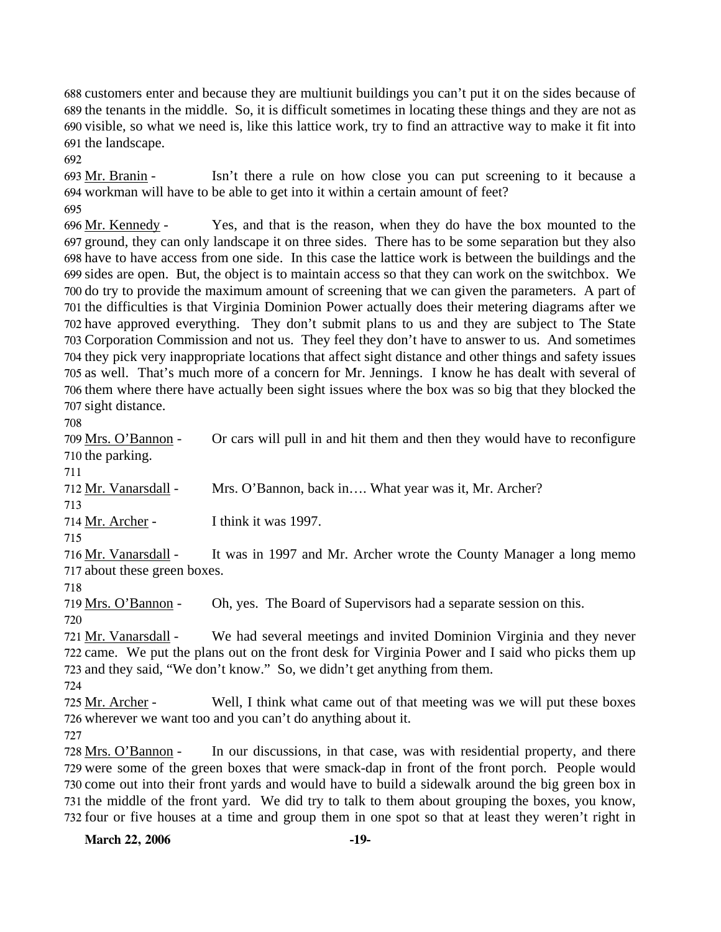customers enter and because they are multiunit buildings you can't put it on the sides because of the tenants in the middle. So, it is difficult sometimes in locating these things and they are not as visible, so what we need is, like this lattice work, try to find an attractive way to make it fit into the landscape.

692

Isn't there a rule on how close you can put screening to it because a 694 workman will have to be able to get into it within a certain amount of feet? 693 Mr. Branin -695

Yes, and that is the reason, when they do have the box mounted to the 697 ground, they can only landscape it on three sides. There has to be some separation but they also 698 have to have access from one side. In this case the lattice work is between the buildings and the 699 sides are open. But, the object is to maintain access so that they can work on the switchbox. We 700 do try to provide the maximum amount of screening that we can given the parameters. A part of 701 the difficulties is that Virginia Dominion Power actually does their metering diagrams after we 702 have approved everything. They don't submit plans to us and they are subject to The State 703 Corporation Commission and not us. They feel they don't have to answer to us. And sometimes 704 they pick very inappropriate locations that affect sight distance and other things and safety issues 705 as well. That's much more of a concern for Mr. Jennings. I know he has dealt with several of 706 them where there have actually been sight issues where the box was so big that they blocked the 707 sight distance. 696 Mr. Kennedy -

708

| 709 Mrs. O'Bannon -          | Or cars will pull in and hit them and then they would have to reconfigure                        |
|------------------------------|--------------------------------------------------------------------------------------------------|
| 710 the parking.             |                                                                                                  |
| 711                          |                                                                                                  |
| 712 Mr. Vanarsdall -         | Mrs. O'Bannon, back in What year was it, Mr. Archer?                                             |
| 713                          |                                                                                                  |
| 714 Mr. Archer -             | I think it was 1997.                                                                             |
| 715                          |                                                                                                  |
| 716 Mr. Vanarsdall -         | It was in 1997 and Mr. Archer wrote the County Manager a long memo                               |
| 717 about these green boxes. |                                                                                                  |
| 718                          |                                                                                                  |
| 719 Mrs. O'Bannon -          | Oh, yes. The Board of Supervisors had a separate session on this.                                |
| 720                          |                                                                                                  |
| 721 Mr. Vanarsdall -         | We had several meetings and invited Dominion Virginia and they never                             |
|                              | 722 came. We put the plans out on the front desk for Virginia Power and I said who picks them up |
|                              | 723 and they said, "We don't know." So, we didn't get anything from them.                        |
| 724                          |                                                                                                  |

Well, I think what came out of that meeting was we will put these boxes 726 wherever we want too and you can't do anything about it. 725 Mr. Archer -

727

In our discussions, in that case, was with residential property, and there 729 were some of the green boxes that were smack-dap in front of the front porch. People would 730 come out into their front yards and would have to build a sidewalk around the big green box in 731 the middle of the front yard. We did try to talk to them about grouping the boxes, you know, 732 four or five houses at a time and group them in one spot so that at least they weren't right in 728 Mrs. O'Bannon -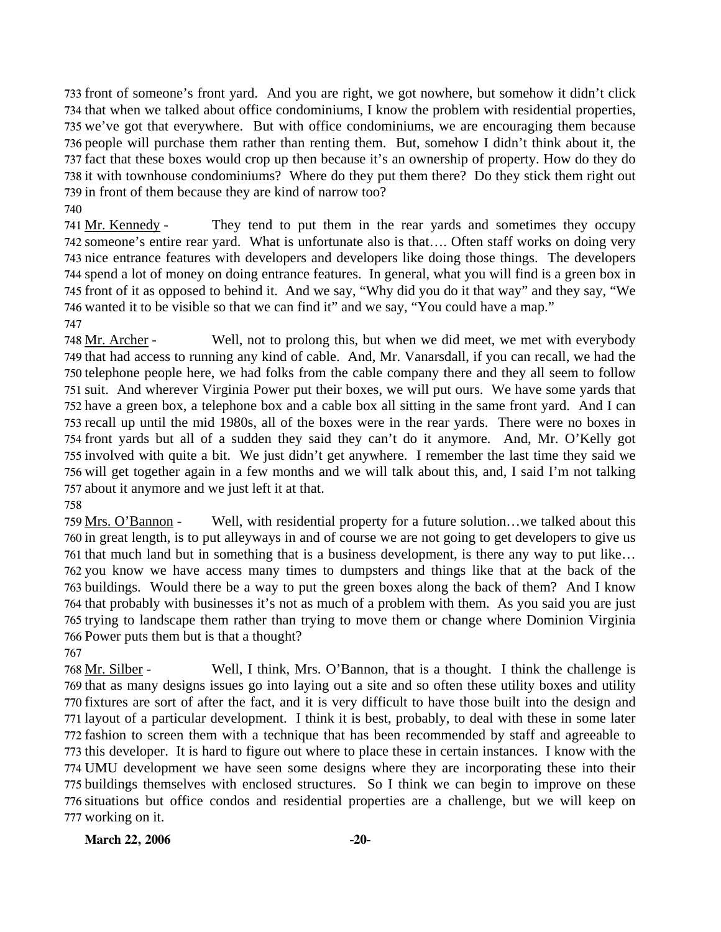front of someone's front yard. And you are right, we got nowhere, but somehow it didn't click that when we talked about office condominiums, I know the problem with residential properties, we've got that everywhere. But with office condominiums, we are encouraging them because people will purchase them rather than renting them. But, somehow I didn't think about it, the fact that these boxes would crop up then because it's an ownership of property. How do they do it with townhouse condominiums? Where do they put them there? Do they stick them right out in front of them because they are kind of narrow too?

740

They tend to put them in the rear yards and sometimes they occupy 742 someone's entire rear yard. What is unfortunate also is that.... Often staff works on doing very 743 nice entrance features with developers and developers like doing those things. The developers 744 spend a lot of money on doing entrance features. In general, what you will find is a green box in 745 front of it as opposed to behind it. And we say, "Why did you do it that way" and they say, "We 746 wanted it to be visible so that we can find it" and we say, "You could have a map." 741 Mr. Kennedy -

747

Well, not to prolong this, but when we did meet, we met with everybody 749 that had access to running any kind of cable. And, Mr. Vanarsdall, if you can recall, we had the 750 telephone people here, we had folks from the cable company there and they all seem to follow 751 suit. And wherever Virginia Power put their boxes, we will put ours. We have some yards that 752 have a green box, a telephone box and a cable box all sitting in the same front yard. And I can 753 recall up until the mid 1980s, all of the boxes were in the rear yards. There were no boxes in front yards but all of a sudden they said they can't do it anymore. And, Mr. O'Kelly got 754 755 involved with quite a bit. We just didn't get anywhere. I remember the last time they said we 756 will get together again in a few months and we will talk about this, and, I said I'm not talking 757 about it anymore and we just left it at that. 748 Mr. Archer -

758

767

Well, with residential property for a future solution…we talked about this 760 in great length, is to put alleyways in and of course we are not going to get developers to give us 761 that much land but in something that is a business development, is there any way to put like... 762 you know we have access many times to dumpsters and things like that at the back of the 763 buildings. Would there be a way to put the green boxes along the back of them? And I know 764 that probably with businesses it's not as much of a problem with them. As you said you are just 765 trying to landscape them rather than trying to move them or change where Dominion Virginia 766 Power puts them but is that a thought? 759 Mrs. O'Bannon -

Well, I think, Mrs. O'Bannon, that is a thought. I think the challenge is 769 that as many designs issues go into laying out a site and so often these utility boxes and utility 770 fixtures are sort of after the fact, and it is very difficult to have those built into the design and 771 layout of a particular development. I think it is best, probably, to deal with these in some later 772 fashion to screen them with a technique that has been recommended by staff and agreeable to 773 this developer. It is hard to figure out where to place these in certain instances. I know with the UMU development we have seen some designs where they are incorporating these into their 774 775 buildings themselves with enclosed structures. So I think we can begin to improve on these 776 situations but office condos and residential properties are a challenge, but we will keep on 777 working on it. 768 Mr. Silber -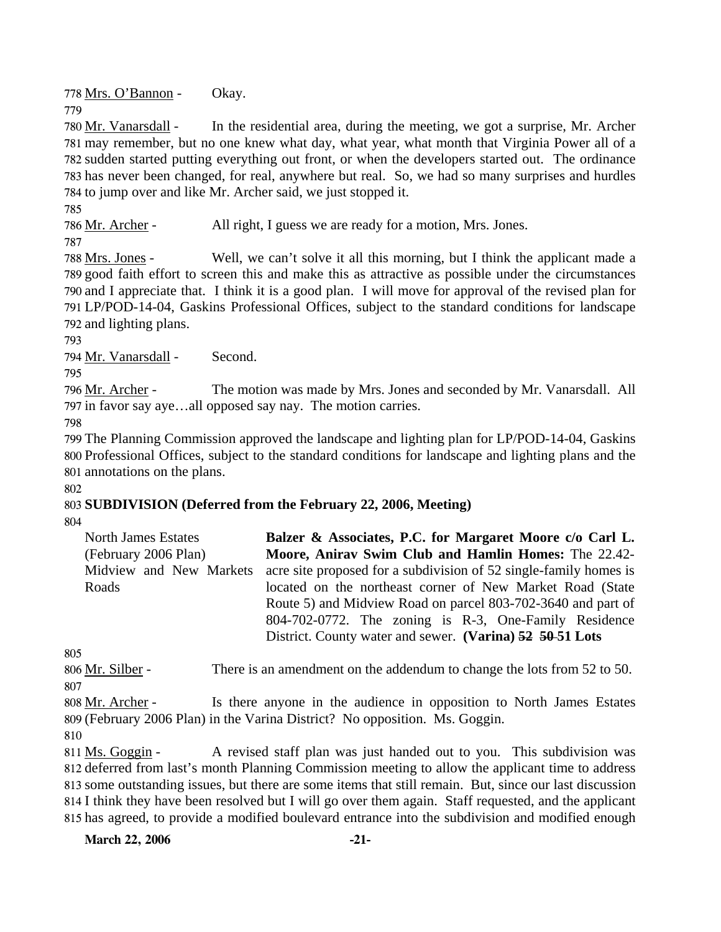778 Mrs. O'Bannon - Okay. 779

In the residential area, during the meeting, we got a surprise, Mr. Archer 781 may remember, but no one knew what day, what year, what month that Virginia Power all of a 782 sudden started putting everything out front, or when the developers started out. The ordinance 783 has never been changed, for real, anywhere but real. So, we had so many surprises and hurdles 784 to jump over and like Mr. Archer said, we just stopped it. 780 Mr. Vanarsdall -

785

786 Mr. Archer - All right, I guess we are ready for a motion, Mrs. Jones.

787

Well, we can't solve it all this morning, but I think the applicant made a 789 good faith effort to screen this and make this as attractive as possible under the circumstances 790 and I appreciate that. I think it is a good plan. I will move for approval of the revised plan for LP/POD-14-04, Gaskins Professional Offices, subject to the standard conditions for landscape 791 792 and lighting plans. 788 Mrs. Jones -

793

794 Mr. Vanarsdall - Second.

795

The motion was made by Mrs. Jones and seconded by Mr. Vanarsdall. All 797 in favor say aye...all opposed say nay. The motion carries. 796 Mr. Archer -

798

799 The Planning Commission approved the landscape and lighting plan for LP/POD-14-04, Gaskins 800 Professional Offices, subject to the standard conditions for landscape and lighting plans and the 801 annotations on the plans.

802

# 803 **SUBDIVISION (Deferred from the February 22, 2006, Meeting)**

804

| North James Estates     | Balzer & Associates, P.C. for Margaret Moore c/o Carl L.          |
|-------------------------|-------------------------------------------------------------------|
| (February 2006 Plan)    | Moore, Anirav Swim Club and Hamlin Homes: The 22.42-              |
| Midview and New Markets | acre site proposed for a subdivision of 52 single-family homes is |
| Roads                   | located on the northeast corner of New Market Road (State         |
|                         | Route 5) and Midview Road on parcel 803-702-3640 and part of      |
|                         | 804-702-0772. The zoning is R-3, One-Family Residence             |
|                         | District. County water and sewer. (Varina) 52 50-51 Lots          |

805

806 Mr. Silber - There is an amendment on the addendum to change the lots from 52 to 50. 807

Is there anyone in the audience in opposition to North James Estates (February 2006 Plan) in the Varina District? No opposition. Ms. Goggin. 809 808 Mr. Archer -810

A revised staff plan was just handed out to you. This subdivision was 812 deferred from last's month Planning Commission meeting to allow the applicant time to address some outstanding issues, but there are some items that still remain. But, since our last discussion 813 814 I think they have been resolved but I will go over them again. Staff requested, and the applicant 815 has agreed, to provide a modified boulevard entrance into the subdivision and modified enough 811 Ms. Goggin -

March 22, 2006 -21-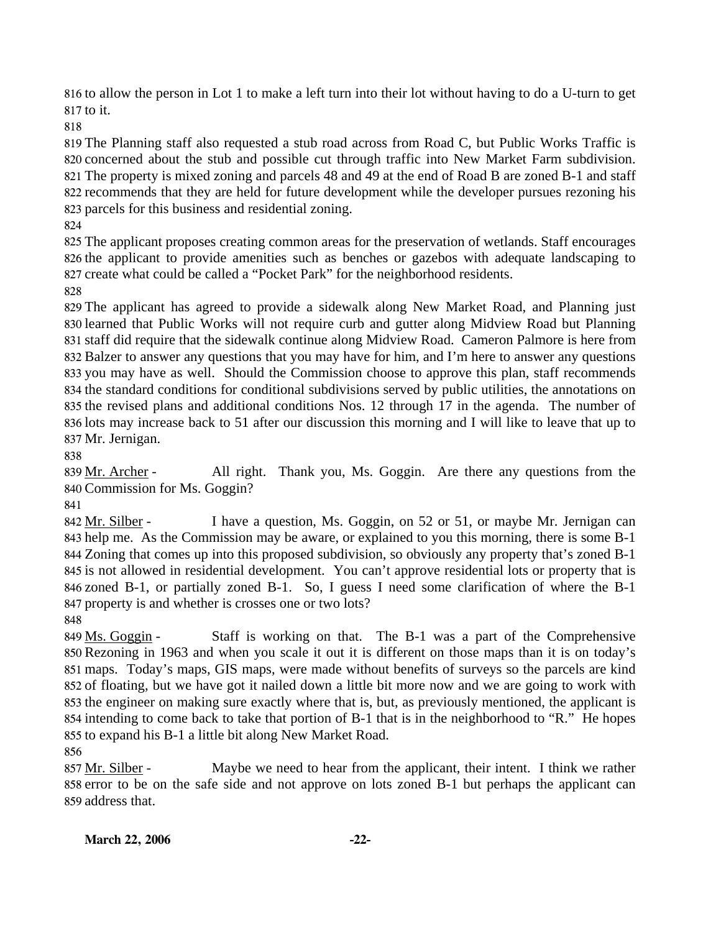816 to allow the person in Lot 1 to make a left turn into their lot without having to do a U-turn to get 817 to it.

818

 The Planning staff also requested a stub road across from Road C, but Public Works Traffic is concerned about the stub and possible cut through traffic into New Market Farm subdivision. The property is mixed zoning and parcels 48 and 49 at the end of Road B are zoned B-1 and staff recommends that they are held for future development while the developer pursues rezoning his parcels for this business and residential zoning.

824

825 The applicant proposes creating common areas for the preservation of wetlands. Staff encourages 826 the applicant to provide amenities such as benches or gazebos with adequate landscaping to 827 create what could be called a "Pocket Park" for the neighborhood residents.

828

 The applicant has agreed to provide a sidewalk along New Market Road, and Planning just learned that Public Works will not require curb and gutter along Midview Road but Planning staff did require that the sidewalk continue along Midview Road. Cameron Palmore is here from Balzer to answer any questions that you may have for him, and I'm here to answer any questions you may have as well. Should the Commission choose to approve this plan, staff recommends the standard conditions for conditional subdivisions served by public utilities, the annotations on the revised plans and additional conditions Nos. 12 through 17 in the agenda. The number of lots may increase back to 51 after our discussion this morning and I will like to leave that up to Mr. Jernigan.

838

All right. Thank you, Ms. Goggin. Are there any questions from the Commission for Ms. Goggin? 840 839 Mr. Archer -

841

I have a question, Ms. Goggin, on 52 or 51, or maybe Mr. Jernigan can 843 help me. As the Commission may be aware, or explained to you this morning, there is some B-1 844 Zoning that comes up into this proposed subdivision, so obviously any property that's zoned B-1 845 is not allowed in residential development. You can't approve residential lots or property that is 846 zoned B-1, or partially zoned B-1. So, I guess I need some clarification of where the B-1 847 property is and whether is crosses one or two lots? 842 Mr. Silber -

848

Staff is working on that. The B-1 was a part of the Comprehensive 850 Rezoning in 1963 and when you scale it out it is different on those maps than it is on today's maps. Today's maps, GIS maps, were made without benefits of surveys so the parcels are kind 851 852 of floating, but we have got it nailed down a little bit more now and we are going to work with 853 the engineer on making sure exactly where that is, but, as previously mentioned, the applicant is 854 intending to come back to take that portion of B-1 that is in the neighborhood to "R." He hopes 855 to expand his B-1 a little bit along New Market Road. 849 Ms. Goggin -

856

Maybe we need to hear from the applicant, their intent. I think we rather 858 error to be on the safe side and not approve on lots zoned B-1 but perhaps the applicant can 859 address that. 857 Mr. Silber -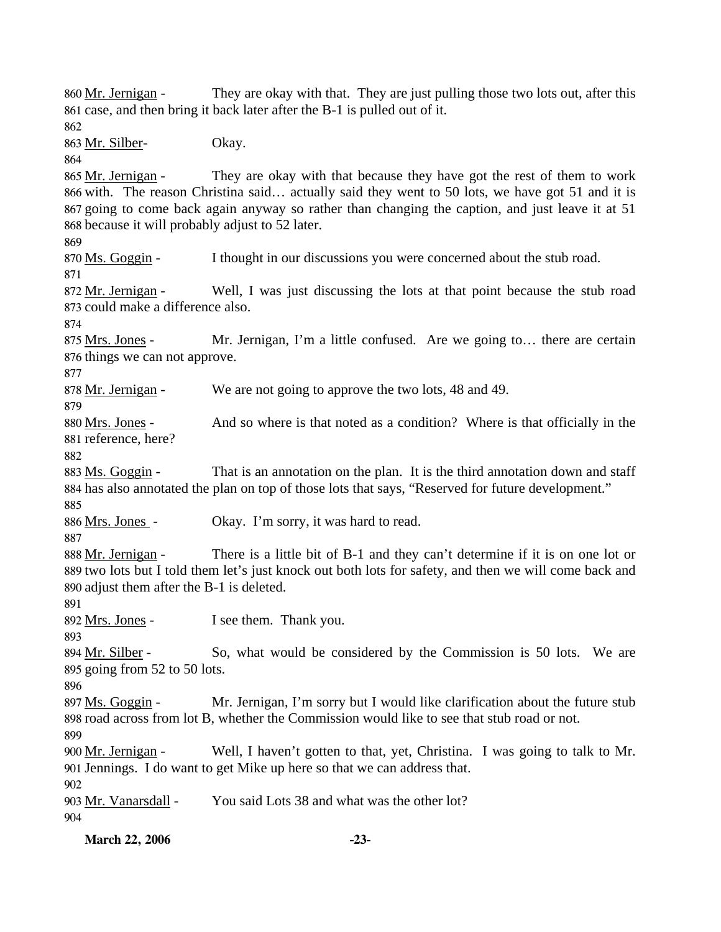They are okay with that. They are just pulling those two lots out, after this 861 case, and then bring it back later after the B-1 is pulled out of it. 860 Mr. Jernigan -862 863 Mr. Silber- Okay. 864 They are okay with that because they have got the rest of them to work 866 with. The reason Christina said... actually said they went to 50 lots, we have got 51 and it is 867 going to come back again anyway so rather than changing the caption, and just leave it at 51 868 because it will probably adjust to 52 later. 865 Mr. Jernigan -869 870 Ms. Goggin - I thought in our discussions you were concerned about the stub road. 871 Well, I was just discussing the lots at that point because the stub road 873 could make a difference also. 872 Mr. Jernigan -874 Mr. Jernigan, I'm a little confused. Are we going to... there are certain 876 things we can not approve. 875 Mrs. Jones -877 878 Mr. Jernigan - We are not going to approve the two lots, 48 and 49. 879 And so where is that noted as a condition? Where is that officially in the 881 reference, here? 880 Mrs. Jones -882 That is an annotation on the plan. It is the third annotation down and staff 884 has also annotated the plan on top of those lots that says, "Reserved for future development." 883 Ms. Goggin -885 886 Mrs. Jones - Okay. I'm sorry, it was hard to read. 887 There is a little bit of B-1 and they can't determine if it is on one lot or 889 two lots but I told them let's just knock out both lots for safety, and then we will come back and 890 adjust them after the B-1 is deleted. 888 Mr. Jernigan -891 892 <u>Mrs. Jones</u> - I see them. Thank you. 893 So, what would be considered by the Commission is 50 lots. We are 895 going from 52 to 50 lots. 894 Mr. Silber -896 Mr. Jernigan, I'm sorry but I would like clarification about the future stub 898 road across from lot B, whether the Commission would like to see that stub road or not. 897 Ms. Goggin -899 Well, I haven't gotten to that, yet, Christina. I was going to talk to Mr. 901 Jennings. I do want to get Mike up here so that we can address that. 900 Mr. Jernigan -902 903 Mr. Vanarsdall - You said Lots 38 and what was the other lot? 904

**March 22, 2006 -23-**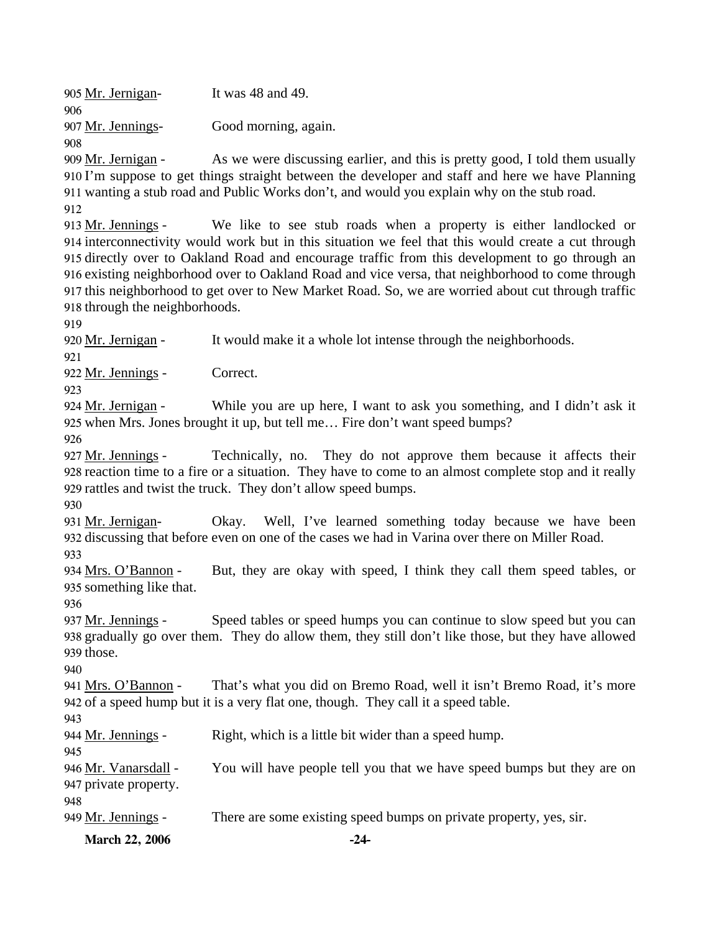905 Mr. Jernigan- It was 48 and 49. 906 907 Mr. Jennings- Good morning, again. 908

As we were discussing earlier, and this is pretty good, I told them usually 910 I'm suppose to get things straight between the developer and staff and here we have Planning 911 wanting a stub road and Public Works don't, and would you explain why on the stub road. 909 Mr. Jernigan -

912

We like to see stub roads when a property is either landlocked or 914 interconnectivity would work but in this situation we feel that this would create a cut through 915 directly over to Oakland Road and encourage traffic from this development to go through an 916 existing neighborhood over to Oakland Road and vice versa, that neighborhood to come through 917 this neighborhood to get over to New Market Road. So, we are worried about cut through traffic 918 through the neighborhoods. 913 Mr. Jennings -

919

920 Mr. Jernigan - It would make it a whole lot intense through the neighborhoods.

921

922 Mr. Jennings - Correct.

923

While you are up here, I want to ask you something, and I didn't ask it 925 when Mrs. Jones brought it up, but tell me... Fire don't want speed bumps? 924 Mr. Jernigan -

926

Technically, no. They do not approve them because it affects their 928 reaction time to a fire or a situation. They have to come to an almost complete stop and it really 929 rattles and twist the truck. They don't allow speed bumps. 927 Mr. Jennings -

930

Okay. Well, I've learned something today because we have been 932 discussing that before even on one of the cases we had in Varina over there on Miller Road. 931 Mr. Jernigan-

933

But, they are okay with speed, I think they call them speed tables, or 935 something like that. 934 Mrs. O'Bannon -

936

Speed tables or speed humps you can continue to slow speed but you can 938 gradually go over them. They do allow them, they still don't like those, but they have allowed 939 those. 937 Mr. Jennings -

940

That's what you did on Bremo Road, well it isn't Bremo Road, it's more 942 of a speed hump but it is a very flat one, though. They call it a speed table. 941 Mrs. O'Bannon -

943

944 Mr. Jennings - Right, which is a little bit wider than a speed hump.

945 You will have people tell you that we have speed bumps but they are on 947 private property. 946 Mr. Vanarsdall -

948

949 Mr. Jennings - There are some existing speed bumps on private property, yes, sir.

**March 22, 2006 -24-**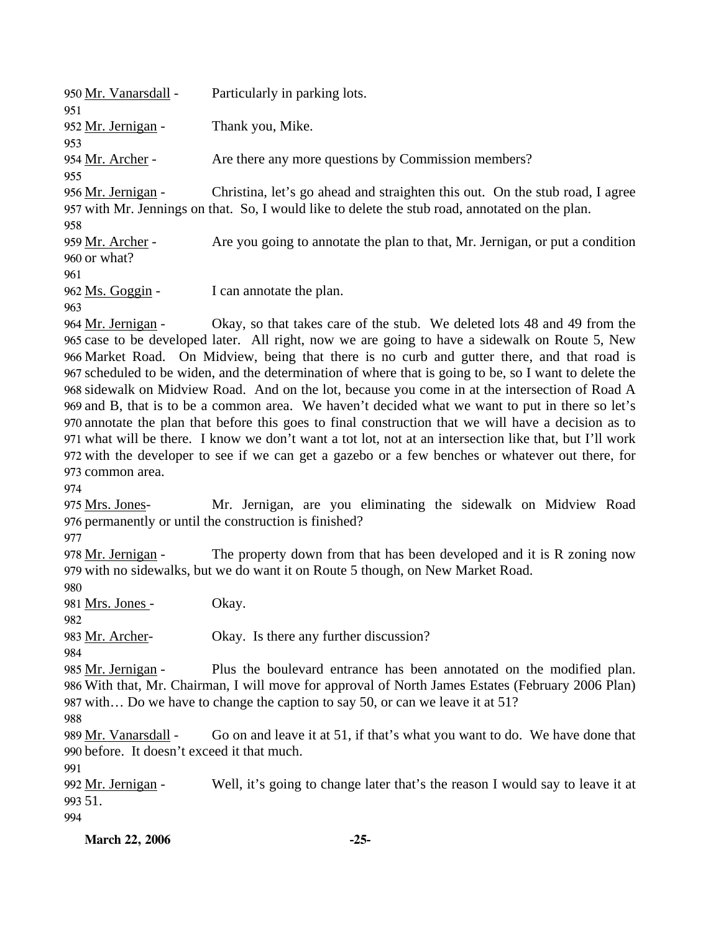| 950 Mr. Vanarsdall - | Particularly in parking lots.                                                                   |
|----------------------|-------------------------------------------------------------------------------------------------|
| 951                  |                                                                                                 |
| 952 Mr. Jernigan -   | Thank you, Mike.                                                                                |
| 953                  |                                                                                                 |
| 954 Mr. Archer -     | Are there any more questions by Commission members?                                             |
| 955                  |                                                                                                 |
| 956 Mr. Jernigan -   | Christina, let's go ahead and straighten this out. On the stub road, I agree                    |
|                      | 957 with Mr. Jennings on that. So, I would like to delete the stub road, annotated on the plan. |
| 958                  |                                                                                                 |
| 959 Mr. Archer -     | Are you going to annotate the plan to that, Mr. Jernigan, or put a condition                    |
| 960 or what?         |                                                                                                 |
| 961                  |                                                                                                 |
| 962 Ms. Goggin -     | I can annotate the plan.                                                                        |
| 963                  |                                                                                                 |
|                      |                                                                                                 |

Okay, so that takes care of the stub. We deleted lots 48 and 49 from the 965 case to be developed later. All right, now we are going to have a sidewalk on Route 5, New 966 Market Road. On Midview, being that there is no curb and gutter there, and that road is 967 scheduled to be widen, and the determination of where that is going to be, so I want to delete the 968 sidewalk on Midview Road. And on the lot, because you come in at the intersection of Road A 969 and B, that is to be a common area. We haven't decided what we want to put in there so let's annotate the plan that before this goes to final construction that we will have a decision as to 970 what will be there. I know we don't want a tot lot, not at an intersection like that, but I'll work 971 972 with the developer to see if we can get a gazebo or a few benches or whatever out there, for 973 common area. 964 Mr. Jernigan -

974

Mr. Jernigan, are you eliminating the sidewalk on Midview Road 976 permanently or until the construction is finished? 975 Mrs. Jones-

977

The property down from that has been developed and it is  $R$  zoning now 979 with no sidewalks, but we do want it on Route 5 though, on New Market Road. 978 Mr. Jernigan -

980

981 Mrs. Jones - Okay.

982

983 Mr. Archer- Okay. Is there any further discussion?

984 Plus the boulevard entrance has been annotated on the modified plan. 986 With that, Mr. Chairman, I will move for approval of North James Estates (February 2006 Plan) 987 with... Do we have to change the caption to say 50, or can we leave it at 51? 985 Mr. Jernigan -

988

Go on and leave it at 51, if that's what you want to do. We have done that before. It doesn't exceed it that much. 990 989 Mr. Vanarsdall -

991

Well, it's going to change later that's the reason I would say to leave it at 51. 993 992 Mr. Jernigan -994

**March 22, 2006 -25-**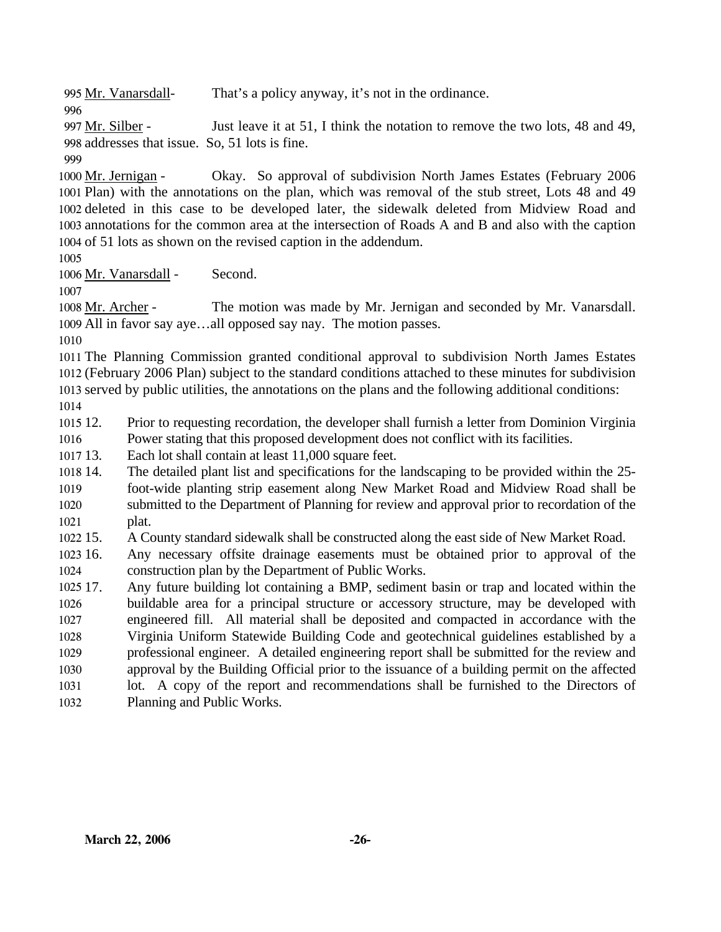995 Mr. Vanarsdall- That's a policy anyway, it's not in the ordinance.

996

Just leave it at 51, I think the notation to remove the two lots, 48 and 49, addresses that issue. So, 51 lots is fine. 998 997 Mr. Silber -

999

Okay. So approval of subdivision North James Estates (February 2006) 1001 Plan) with the annotations on the plan, which was removal of the stub street, Lots 48 and 49 1002 deleted in this case to be developed later, the sidewalk deleted from Midview Road and 1003 annotations for the common area at the intersection of Roads A and B and also with the caption 1004 of 51 lots as shown on the revised caption in the addendum. 1000 Mr. Jernigan -

1005

1006 Mr. Vanarsdall - Second.

1007

The motion was made by Mr. Jernigan and seconded by Mr. Vanarsdall. 1009 All in favor say aye...all opposed say nay. The motion passes. 1008 Mr. Archer -

1010

 The Planning Commission granted conditional approval to subdivision North James Estates (February 2006 Plan) subject to the standard conditions attached to these minutes for subdivision served by public utilities, the annotations on the plans and the following additional conditions: 1014

1015 12. 1016 12. Prior to requesting recordation, the developer shall furnish a letter from Dominion Virginia Power stating that this proposed development does not conflict with its facilities.

1017 13. Each lot shall contain at least 11,000 square feet.

1018 14. 1019 1020 1021 The detailed plant list and specifications for the landscaping to be provided within the 25foot-wide planting strip easement along New Market Road and Midview Road shall be submitted to the Department of Planning for review and approval prior to recordation of the plat.

1022 15. 15. A County standard sidewalk shall be constructed along the east side of New Market Road.

 $102316.$ 1024 16. Any necessary offsite drainage easements must be obtained prior to approval of the construction plan by the Department of Public Works.

1025 17. 1026 1027 1028 1029 1030 1031 1032 Any future building lot containing a BMP, sediment basin or trap and located within the buildable area for a principal structure or accessory structure, may be developed with engineered fill. All material shall be deposited and compacted in accordance with the Virginia Uniform Statewide Building Code and geotechnical guidelines established by a professional engineer. A detailed engineering report shall be submitted for the review and approval by the Building Official prior to the issuance of a building permit on the affected lot. A copy of the report and recommendations shall be furnished to the Directors of Planning and Public Works.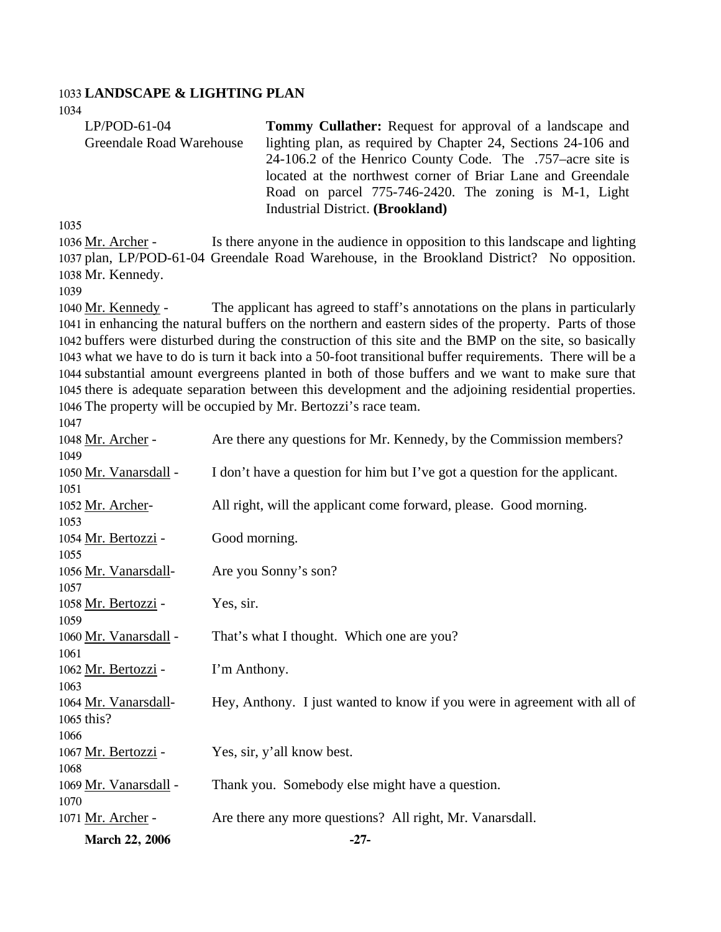#### 1033 **LANDSCAPE & LIGHTING PLAN**

1034

| $LP/POD-61-04$           | <b>Tommy Cullather:</b> Request for approval of a landscape and |
|--------------------------|-----------------------------------------------------------------|
| Greendale Road Warehouse | lighting plan, as required by Chapter 24, Sections 24-106 and   |
|                          | 24-106.2 of the Henrico County Code. The .757–acre site is      |
|                          | located at the northwest corner of Briar Lane and Greendale     |
|                          | Road on parcel 775-746-2420. The zoning is M-1, Light           |
|                          | Industrial District. (Brookland)                                |

1035

Is there anyone in the audience in opposition to this landscape and lighting 1037 plan, LP/POD-61-04 Greendale Road Warehouse, in the Brookland District? No opposition. 1038 Mr. Kennedy. 1036 Mr. Archer -

1039

The applicant has agreed to staff's annotations on the plans in particularly 1041 in enhancing the natural buffers on the northern and eastern sides of the property. Parts of those 1042 buffers were disturbed during the construction of this site and the BMP on the site, so basically 1043 what we have to do is turn it back into a 50-foot transitional buffer requirements. There will be a 1044 substantial amount evergreens planted in both of those buffers and we want to make sure that 1045 there is adequate separation between this development and the adjoining residential properties. 1046 The property will be occupied by Mr. Bertozzi's race team. 1040 Mr. Kennedy -1047

| 1048 Mr. Archer -     | Are there any questions for Mr. Kennedy, by the Commission members?        |
|-----------------------|----------------------------------------------------------------------------|
| 1049                  |                                                                            |
| 1050 Mr. Vanarsdall - | I don't have a question for him but I've got a question for the applicant. |
| 1051                  |                                                                            |
| 1052 Mr. Archer-      | All right, will the applicant come forward, please. Good morning.          |
| 1053                  |                                                                            |
| 1054 Mr. Bertozzi -   | Good morning.                                                              |
| 1055                  |                                                                            |
| 1056 Mr. Vanarsdall-  | Are you Sonny's son?                                                       |
| 1057                  |                                                                            |
| 1058 Mr. Bertozzi -   | Yes, sir.                                                                  |
| 1059                  |                                                                            |
| 1060 Mr. Vanarsdall - | That's what I thought. Which one are you?                                  |
| 1061                  |                                                                            |
| 1062 Mr. Bertozzi -   | I'm Anthony.                                                               |
| 1063                  |                                                                            |
| 1064 Mr. Vanarsdall-  | Hey, Anthony. I just wanted to know if you were in agreement with all of   |
| 1065 this?            |                                                                            |
| 1066                  |                                                                            |
| 1067 Mr. Bertozzi -   | Yes, sir, y'all know best.                                                 |
| 1068                  |                                                                            |
| 1069 Mr. Vanarsdall - | Thank you. Somebody else might have a question.                            |
| 1070                  |                                                                            |
| 1071 Mr. Archer -     | Are there any more questions? All right, Mr. Vanarsdall.                   |
| <b>March 22, 2006</b> | $-27-$                                                                     |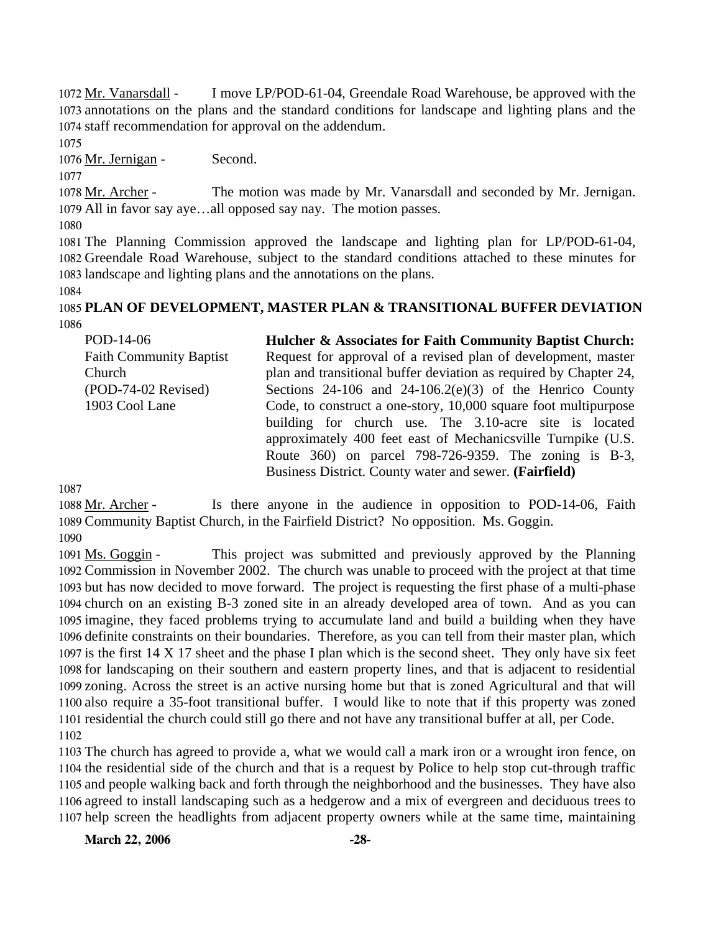I move LP/POD-61-04, Greendale Road Warehouse, be approved with the 1073 annotations on the plans and the standard conditions for landscape and lighting plans and the 1074 staff recommendation for approval on the addendum. 1072 Mr. Vanarsdall -

1075

1076 Mr. Jernigan - Second.

1077

The motion was made by Mr. Vanarsdall and seconded by Mr. Jernigan. 1079 All in favor say aye...all opposed say nay. The motion passes. 1078 Mr. Archer -

1080

1081 The Planning Commission approved the landscape and lighting plan for LP/POD-61-04, 1082 Greendale Road Warehouse, subject to the standard conditions attached to these minutes for 1083 landscape and lighting plans and the annotations on the plans.

1084

# 1085 **PLAN OF DEVELOPMENT, MASTER PLAN & TRANSITIONAL BUFFER DEVIATION**  1086

| POD-14-06                      | Hulcher & Associates for Faith Community Baptist Church:          |
|--------------------------------|-------------------------------------------------------------------|
| <b>Faith Community Baptist</b> | Request for approval of a revised plan of development, master     |
| Church                         | plan and transitional buffer deviation as required by Chapter 24, |
| $(POD-74-02$ Revised)          | Sections $24-106$ and $24-106.2(e)(3)$ of the Henrico County      |
| 1903 Cool Lane                 | Code, to construct a one-story, 10,000 square foot multipurpose   |
|                                | building for church use. The 3.10-acre site is located            |
|                                | approximately 400 feet east of Mechanicsville Turnpike (U.S.      |
|                                | Route 360) on parcel 798-726-9359. The zoning is B-3,             |
|                                | Business District. County water and sewer. (Fairfield)            |

1087

Is there anyone in the audience in opposition to POD-14-06, Faith 1089 Community Baptist Church, in the Fairfield District? No opposition. Ms. Goggin. 1088 Mr. Archer -1090

This project was submitted and previously approved by the Planning 1092 Commission in November 2002. The church was unable to proceed with the project at that time 1093 but has now decided to move forward. The project is requesting the first phase of a multi-phase 1094 church on an existing B-3 zoned site in an already developed area of town. And as you can 1095 imagine, they faced problems trying to accumulate land and build a building when they have 1096 definite constraints on their boundaries. Therefore, as you can tell from their master plan, which 1097 is the first  $14 \times 17$  sheet and the phase I plan which is the second sheet. They only have six feet 1098 for landscaping on their southern and eastern property lines, and that is adjacent to residential 1099 zoning. Across the street is an active nursing home but that is zoned Agricultural and that will 1100 also require a 35-foot transitional buffer. I would like to note that if this property was zoned 1101 residential the church could still go there and not have any transitional buffer at all, per Code. 1091 Ms. Goggin -1102

 The church has agreed to provide a, what we would call a mark iron or a wrought iron fence, on the residential side of the church and that is a request by Police to help stop cut-through traffic and people walking back and forth through the neighborhood and the businesses. They have also agreed to install landscaping such as a hedgerow and a mix of evergreen and deciduous trees to help screen the headlights from adjacent property owners while at the same time, maintaining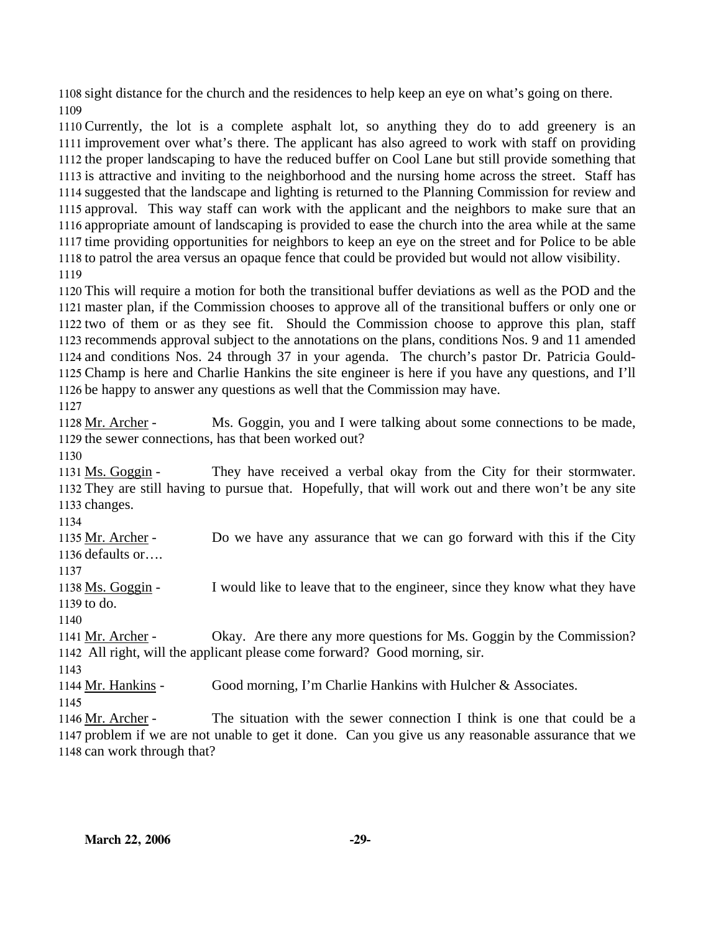1108 sight distance for the church and the residences to help keep an eye on what's going on there. 1109

 Currently, the lot is a complete asphalt lot, so anything they do to add greenery is an improvement over what's there. The applicant has also agreed to work with staff on providing the proper landscaping to have the reduced buffer on Cool Lane but still provide something that is attractive and inviting to the neighborhood and the nursing home across the street. Staff has suggested that the landscape and lighting is returned to the Planning Commission for review and approval. This way staff can work with the applicant and the neighbors to make sure that an appropriate amount of landscaping is provided to ease the church into the area while at the same time providing opportunities for neighbors to keep an eye on the street and for Police to be able to patrol the area versus an opaque fence that could be provided but would not allow visibility. 1119

 This will require a motion for both the transitional buffer deviations as well as the POD and the master plan, if the Commission chooses to approve all of the transitional buffers or only one or two of them or as they see fit. Should the Commission choose to approve this plan, staff recommends approval subject to the annotations on the plans, conditions Nos. 9 and 11 amended and conditions Nos. 24 through 37 in your agenda. The church's pastor Dr. Patricia Gould- Champ is here and Charlie Hankins the site engineer is here if you have any questions, and I'll be happy to answer any questions as well that the Commission may have. 1127

Ms. Goggin, you and I were talking about some connections to be made, 1129 the sewer connections, has that been worked out? 1128 Mr. Archer -

1130

They have received a verbal okay from the City for their stormwater. 1132 They are still having to pursue that. Hopefully, that will work out and there won't be any site 1133 changes. 1131 Ms. Goggin -

1134

Do we have any assurance that we can go forward with this if the City 1136 defaults or.... 1135 Mr. Archer -

1137

I would like to leave that to the engineer, since they know what they have 1139 to do. 1138 Ms. Goggin -

1140

Okay. Are there any more questions for Ms. Goggin by the Commission? All right, will the applicant please come forward? Good morning, sir. 1142 1141 Mr. Archer -

1143

1144 Mr. Hankins - Good morning, I'm Charlie Hankins with Hulcher & Associates.

1145

The situation with the sewer connection I think is one that could be a 1147 problem if we are not unable to get it done. Can you give us any reasonable assurance that we 1148 can work through that? 1146 Mr. Archer -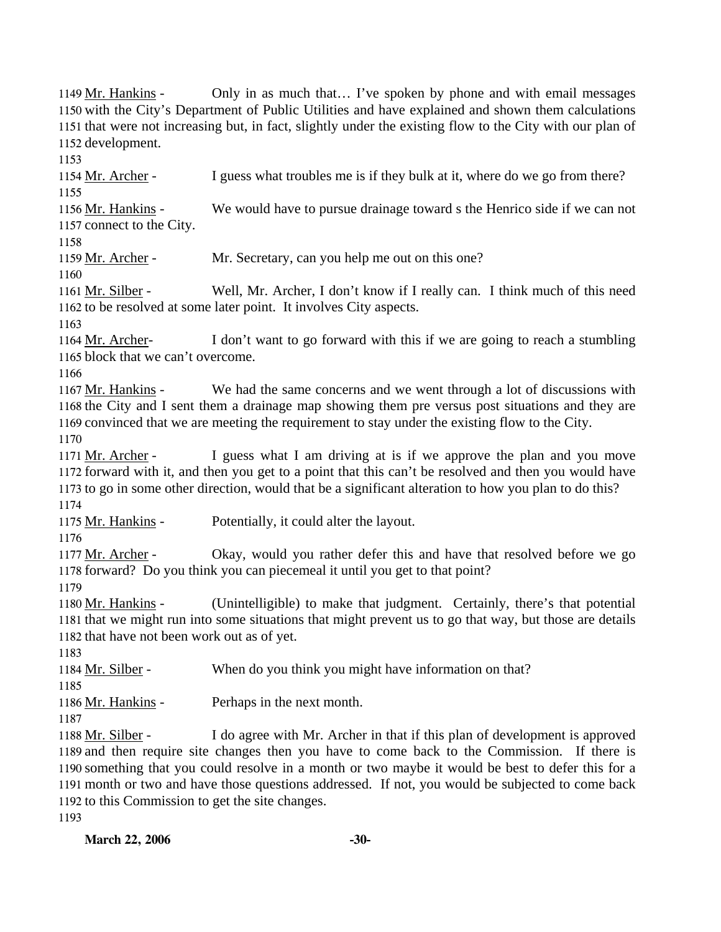Only in as much that… I've spoken by phone and with email messages 1150 with the City's Department of Public Utilities and have explained and shown them calculations 1151 that were not increasing but, in fact, slightly under the existing flow to the City with our plan of 1152 development. 1149 Mr. Hankins -1153 1154 Mr. Archer - I guess what troubles me is if they bulk at it, where do we go from there? 1155 We would have to pursue drainage toward s the Henrico side if we can not 1157 connect to the City. 1156 Mr. Hankins -1158 1159 Mr. Archer - Mr. Secretary, can you help me out on this one? 1160 Well, Mr. Archer, I don't know if I really can. I think much of this need 1162 to be resolved at some later point. It involves City aspects. 1161 Mr. Silber -1163 I don't want to go forward with this if we are going to reach a stumbling 1165 block that we can't overcome. 1164 Mr. Archer-1166 We had the same concerns and we went through a lot of discussions with 1168 the City and I sent them a drainage map showing them pre versus post situations and they are 1169 convinced that we are meeting the requirement to stay under the existing flow to the City. 1167 Mr. Hankins -1170 I guess what I am driving at is if we approve the plan and you move 1172 forward with it, and then you get to a point that this can't be resolved and then you would have 1173 to go in some other direction, would that be a significant alteration to how you plan to do this? 1171 Mr. Archer -1174 1175 Mr. Hankins - Potentially, it could alter the layout. 1176 Okay, would you rather defer this and have that resolved before we go 1178 forward? Do you think you can piecemeal it until you get to that point? 1177 Mr. Archer -1179 (Unintelligible) to make that judgment. Certainly, there's that potential 1181 that we might run into some situations that might prevent us to go that way, but those are details 1182 that have not been work out as of yet. 1180 Mr. Hankins -1183 1184 Mr. Silber - When do you think you might have information on that? 1185 1186 Mr. Hankins - Perhaps in the next month. 1187 I do agree with Mr. Archer in that if this plan of development is approved 1189 and then require site changes then you have to come back to the Commission. If there is 1190 something that you could resolve in a month or two maybe it would be best to defer this for a 1191 month or two and have those questions addressed. If not, you would be subjected to come back 1192 to this Commission to get the site changes. 1188 Mr. Silber -1193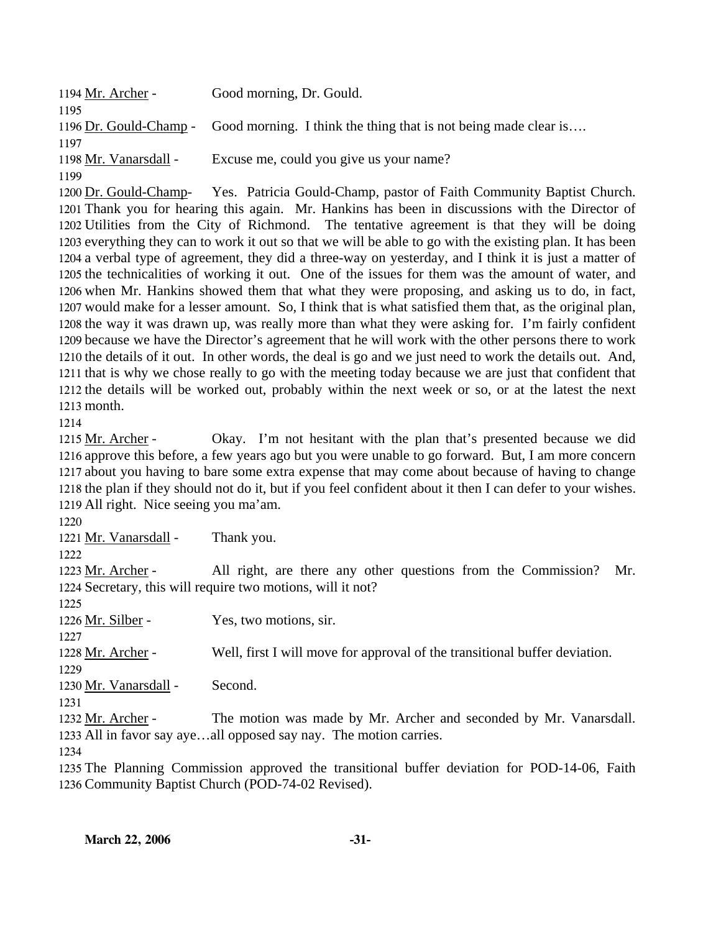| 1194 Mr. Archer -     | Good morning, Dr. Gould.                                                               |
|-----------------------|----------------------------------------------------------------------------------------|
| 1195                  |                                                                                        |
|                       | 1196 Dr. Gould-Champ - Good morning. I think the thing that is not being made clear is |
| 1197                  |                                                                                        |
| 1198 Mr. Vanarsdall - | Excuse me, could you give us your name?                                                |
| 1199                  |                                                                                        |

Yes. Patricia Gould-Champ, pastor of Faith Community Baptist Church. 1201 Thank you for hearing this again. Mr. Hankins has been in discussions with the Director of 1202 Utilities from the City of Richmond. The tentative agreement is that they will be doing 1203 everything they can to work it out so that we will be able to go with the existing plan. It has been 1204 a verbal type of agreement, they did a three-way on yesterday, and I think it is just a matter of 1205 the technicalities of working it out. One of the issues for them was the amount of water, and 1206 when Mr. Hankins showed them that what they were proposing, and asking us to do, in fact, 1207 would make for a lesser amount. So, I think that is what satisfied them that, as the original plan, 1208 the way it was drawn up, was really more than what they were asking for. I'm fairly confident 1209 because we have the Director's agreement that he will work with the other persons there to work 1210 the details of it out. In other words, the deal is go and we just need to work the details out. And, 1211 that is why we chose really to go with the meeting today because we are just that confident that 1212 the details will be worked out, probably within the next week or so, or at the latest the next 1213 month. 1200 Dr. Gould-Champ-

1214

Okay. I'm not hesitant with the plan that's presented because we did 1216 approve this before, a few years ago but you were unable to go forward. But, I am more concern 1217 about you having to bare some extra expense that may come about because of having to change 1218 the plan if they should not do it, but if you feel confident about it then I can defer to your wishes. 1219 All right. Nice seeing you ma'am. 1215 Mr. Archer -

1220

1221 Mr. Vanarsdall - Thank you.

1222

All right, are there any other questions from the Commission? Mr. 1224 Secretary, this will require two motions, will it not? 1223 Mr. Archer -

1225 1226 Mr. Silber - Yes, two motions, sir. 1227 1228 Mr. Archer - Well, first I will move for approval of the transitional buffer deviation. 1229 1230 Mr. Vanarsdall - Second. 1231 The motion was made by Mr. Archer and seconded by Mr. Vanarsdall. 1233 All in favor say aye...all opposed say nay. The motion carries. 1232 Mr. Archer -

1234

1235 The Planning Commission approved the transitional buffer deviation for POD-14-06, Faith 1236 Community Baptist Church (POD-74-02 Revised).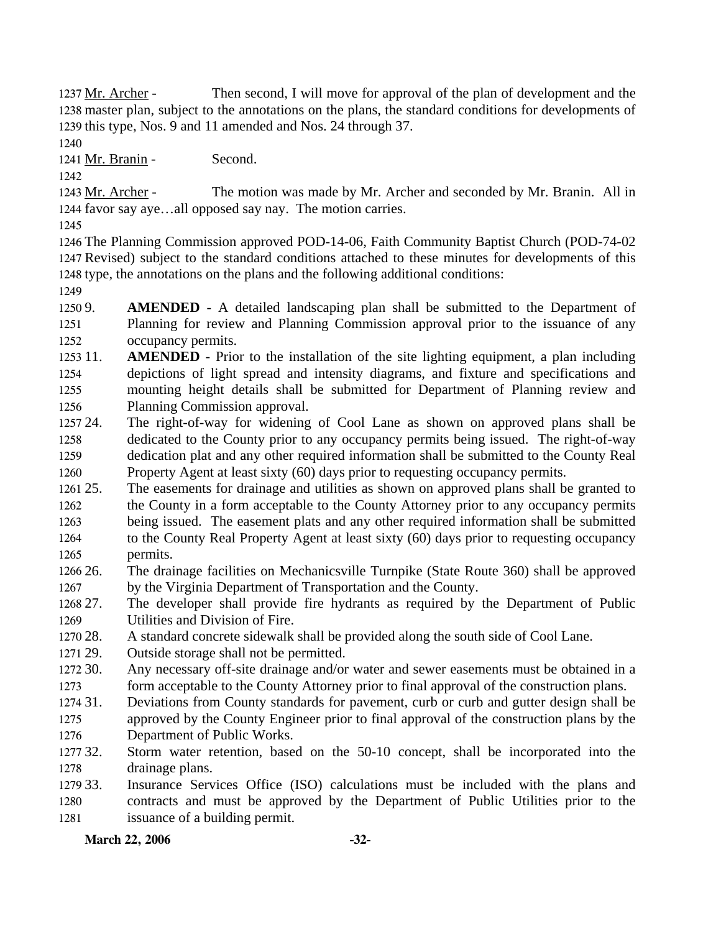Then second, I will move for approval of the plan of development and the 1238 master plan, subject to the annotations on the plans, the standard conditions for developments of 1239 this type, Nos. 9 and 11 amended and Nos. 24 through 37. 1237 Mr. Archer -

1240

1241 Mr. Branin - Second.

1242

The motion was made by Mr. Archer and seconded by Mr. Branin. All in 1244 favor say aye...all opposed say nay. The motion carries. 1243 Mr. Archer -

1245

1246 The Planning Commission approved POD-14-06, Faith Community Baptist Church (POD-74-02 1247 Revised) subject to the standard conditions attached to these minutes for developments of this 1248 type, the annotations on the plans and the following additional conditions:

1249

1250 9. 1251 1252 **AMENDED** - A detailed landscaping plan shall be submitted to the Department of Planning for review and Planning Commission approval prior to the issuance of any occupancy permits.

1253 11. 1254 1255 1256 **AMENDED** - Prior to the installation of the site lighting equipment, a plan including depictions of light spread and intensity diagrams, and fixture and specifications and mounting height details shall be submitted for Department of Planning review and Planning Commission approval.

1257 24. 1258 1259 1260 The right-of-way for widening of Cool Lane as shown on approved plans shall be dedicated to the County prior to any occupancy permits being issued. The right-of-way dedication plat and any other required information shall be submitted to the County Real Property Agent at least sixty (60) days prior to requesting occupancy permits.

 $1261\,25$ . 1262 1263 1264 1265 The easements for drainage and utilities as shown on approved plans shall be granted to the County in a form acceptable to the County Attorney prior to any occupancy permits being issued. The easement plats and any other required information shall be submitted to the County Real Property Agent at least sixty (60) days prior to requesting occupancy permits.

- 1266 26. 1267 26. The drainage facilities on Mechanicsville Turnpike (State Route 360) shall be approved by the Virginia Department of Transportation and the County.
- 1268 27. 1269 The developer shall provide fire hydrants as required by the Department of Public Utilities and Division of Fire.
- 1270 28. A standard concrete sidewalk shall be provided along the south side of Cool Lane.
- 1271 29. Outside storage shall not be permitted.
- 1272 30. 1273 Any necessary off-site drainage and/or water and sewer easements must be obtained in a form acceptable to the County Attorney prior to final approval of the construction plans.
- 1274 31. 1275 1276 Deviations from County standards for pavement, curb or curb and gutter design shall be approved by the County Engineer prior to final approval of the construction plans by the Department of Public Works.
- 1277 32. 1278 Storm water retention, based on the 50-10 concept, shall be incorporated into the drainage plans.
- 1279 33. 1280 1281 Insurance Services Office (ISO) calculations must be included with the plans and contracts and must be approved by the Department of Public Utilities prior to the issuance of a building permit.

# **March 22, 2006 -32-**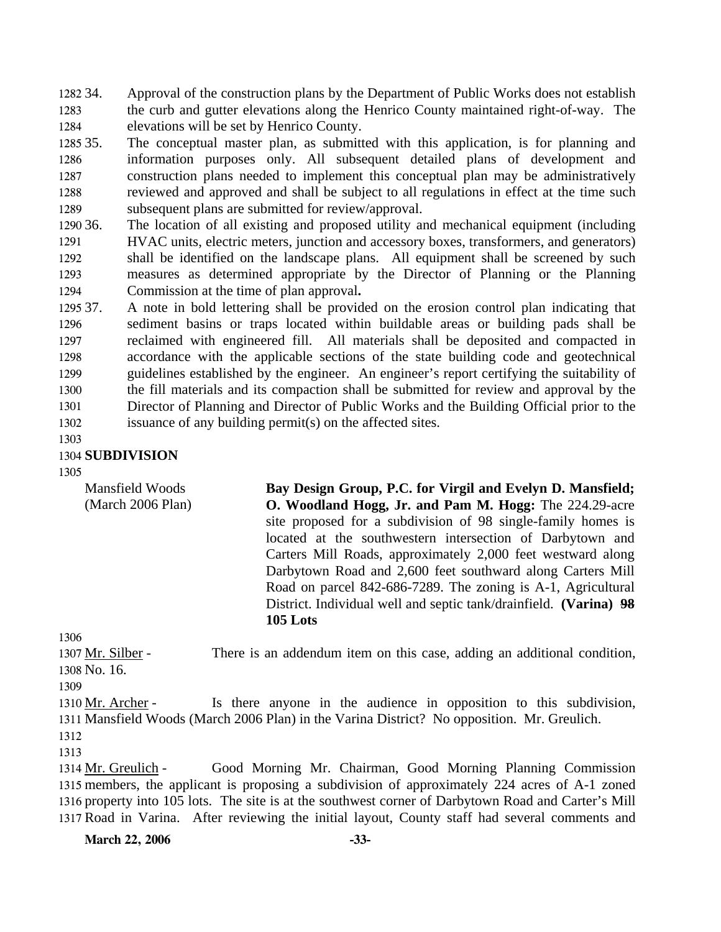1282 34. 1283 1284 Approval of the construction plans by the Department of Public Works does not establish the curb and gutter elevations along the Henrico County maintained right-of-way. The elevations will be set by Henrico County.

1285 35. 1286 1287 1288 1289 The conceptual master plan, as submitted with this application, is for planning and information purposes only. All subsequent detailed plans of development and construction plans needed to implement this conceptual plan may be administratively reviewed and approved and shall be subject to all regulations in effect at the time such subsequent plans are submitted for review/approval.

1290 36. 1291 1292 1293 1294 The location of all existing and proposed utility and mechanical equipment (including HVAC units, electric meters, junction and accessory boxes, transformers, and generators) shall be identified on the landscape plans. All equipment shall be screened by such measures as determined appropriate by the Director of Planning or the Planning Commission at the time of plan approval**.** 

1295 37. 1296 1297 1298 1299 1300 1301 1302 37. A note in bold lettering shall be provided on the erosion control plan indicating that sediment basins or traps located within buildable areas or building pads shall be reclaimed with engineered fill. All materials shall be deposited and compacted in accordance with the applicable sections of the state building code and geotechnical guidelines established by the engineer. An engineer's report certifying the suitability of the fill materials and its compaction shall be submitted for review and approval by the Director of Planning and Director of Public Works and the Building Official prior to the issuance of any building permit(s) on the affected sites.

1303

## 1304 **SUBDIVISION**

1305

Mansfield Woods (March 2006 Plan) **Bay Design Group, P.C. for Virgil and Evelyn D. Mansfield; O. Woodland Hogg, Jr. and Pam M. Hogg:** The 224.29-acre site proposed for a subdivision of 98 single-family homes is located at the southwestern intersection of Darbytown and Carters Mill Roads, approximately 2,000 feet westward along Darbytown Road and 2,600 feet southward along Carters Mill Road on parcel 842-686-7289. The zoning is A-1, Agricultural District. Individual well and septic tank/drainfield. **(Varina) 98 105 Lots** 

1306

There is an addendum item on this case, adding an additional condition, 1308 No. 16. 1307 Mr. Silber -

1309

Is there anyone in the audience in opposition to this subdivision, 1311 Mansfield Woods (March 2006 Plan) in the Varina District? No opposition. Mr. Greulich. 1310 Mr. Archer -1312

1313

Good Morning Mr. Chairman, Good Morning Planning Commission 1315 members, the applicant is proposing a subdivision of approximately 224 acres of A-1 zoned 1316 property into 105 lots. The site is at the southwest corner of Darbytown Road and Carter's Mill 1317 Road in Varina. After reviewing the initial layout, County staff had several comments and 1314 Mr. Greulich -

March 22, 2006 -33-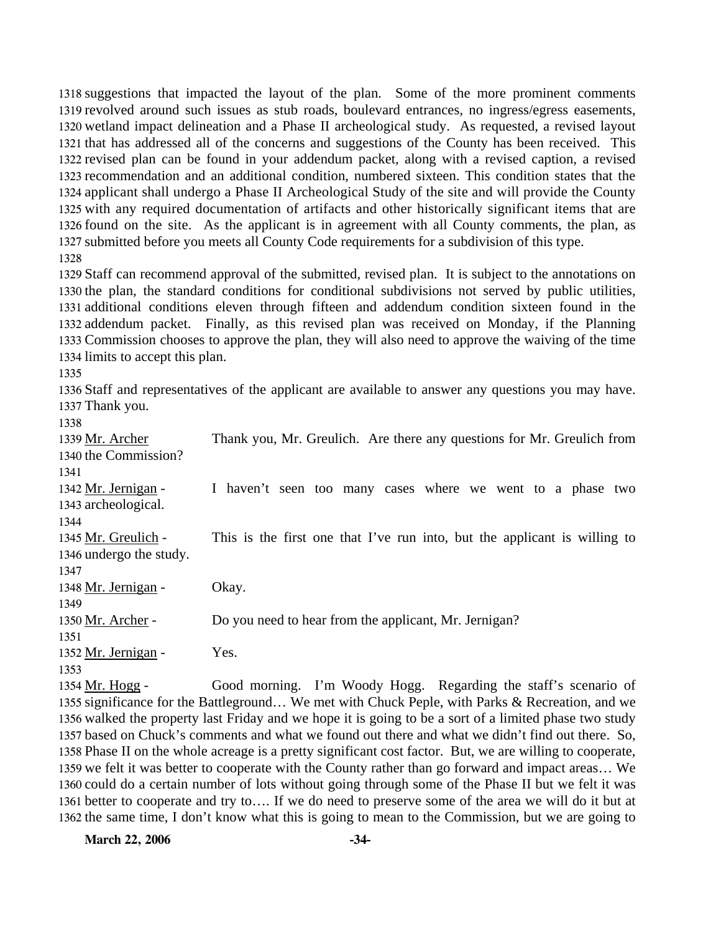suggestions that impacted the layout of the plan. Some of the more prominent comments revolved around such issues as stub roads, boulevard entrances, no ingress/egress easements, wetland impact delineation and a Phase II archeological study. As requested, a revised layout that has addressed all of the concerns and suggestions of the County has been received. This revised plan can be found in your addendum packet, along with a revised caption, a revised recommendation and an additional condition, numbered sixteen. This condition states that the applicant shall undergo a Phase II Archeological Study of the site and will provide the County with any required documentation of artifacts and other historically significant items that are found on the site. As the applicant is in agreement with all County comments, the plan, as submitted before you meets all County Code requirements for a subdivision of this type. 

 Staff can recommend approval of the submitted, revised plan. It is subject to the annotations on the plan, the standard conditions for conditional subdivisions not served by public utilities, additional conditions eleven through fifteen and addendum condition sixteen found in the addendum packet. Finally, as this revised plan was received on Monday, if the Planning Commission chooses to approve the plan, they will also need to approve the waiving of the time limits to accept this plan.

 Staff and representatives of the applicant are available to answer any questions you may have. Thank you.

| 1339 Mr. Archer         | Thank you, Mr. Greulich. Are there any questions for Mr. Greulich from    |
|-------------------------|---------------------------------------------------------------------------|
| 1340 the Commission?    |                                                                           |
| 1341                    |                                                                           |
| 1342 Mr. Jernigan -     | I haven't seen too many cases where we went to a phase two                |
| 1343 archeological.     |                                                                           |
| 1344                    |                                                                           |
| 1345 Mr. Greulich -     | This is the first one that I've run into, but the applicant is willing to |
| 1346 undergo the study. |                                                                           |
| 1347                    |                                                                           |
| 1348 Mr. Jernigan -     | Okay.                                                                     |
| 1349                    |                                                                           |
| 1350 Mr. Archer -       | Do you need to hear from the applicant, Mr. Jernigan?                     |
| 1351                    |                                                                           |
| 1352 Mr. Jernigan -     | Yes.                                                                      |
| 1353                    |                                                                           |
| 1354 Mr. Hogg -         | Good morning. I'm Woody Hogg. Regarding the staff's scenario of           |

1355 significance for the Battleground... We met with Chuck Peple, with Parks & Recreation, and we 1356 walked the property last Friday and we hope it is going to be a sort of a limited phase two study 1357 based on Chuck's comments and what we found out there and what we didn't find out there. So, 1358 Phase II on the whole acreage is a pretty significant cost factor. But, we are willing to cooperate, 1359 we felt it was better to cooperate with the County rather than go forward and impact areas... We 1360 could do a certain number of lots without going through some of the Phase II but we felt it was 1361 better to cooperate and try to.... If we do need to preserve some of the area we will do it but at 1362 the same time, I don't know what this is going to mean to the Commission, but we are going to

**March 22, 2006 -34-**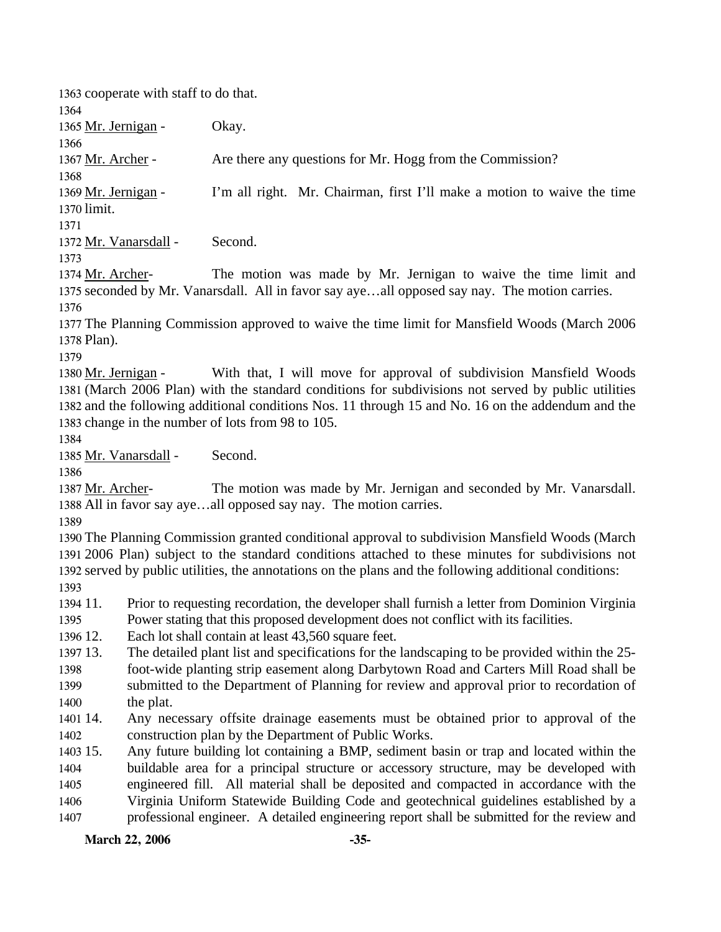1363 cooperate with staff to do that.

1364

1366

1365 Mr. Jernigan - Okay.

1367 Mr. Archer - Are there any questions for Mr. Hogg from the Commission?

1368 I'm all right. Mr. Chairman, first I'll make a motion to waive the time limit. 1370 1369 Mr. Jernigan -

1371

1372 Mr. Vanarsdall - Second.

1373

The motion was made by Mr. Jernigan to waive the time limit and 1375 seconded by Mr. Vanarsdall. All in favor say aye...all opposed say nay. The motion carries. 1374 Mr. Archer-1376

1377 The Planning Commission approved to waive the time limit for Mansfield Woods (March 2006 1378 Plan).

1379

With that, I will move for approval of subdivision Mansfield Woods (March 2006 Plan) with the standard conditions for subdivisions not served by public utilities 1381 1382 and the following additional conditions Nos. 11 through 15 and No. 16 on the addendum and the 1383 change in the number of lots from 98 to 105. 1380 Mr. Jernigan -

1384

1385 Mr. Vanarsdall - Second.

1386

The motion was made by Mr. Jernigan and seconded by Mr. Vanarsdall. 1388 All in favor say aye...all opposed say nay. The motion carries. 1387 Mr. Archer-

1389

 The Planning Commission granted conditional approval to subdivision Mansfield Woods (March 2006 Plan) subject to the standard conditions attached to these minutes for subdivisions not served by public utilities, the annotations on the plans and the following additional conditions: 1393

- 1394 11. 11. Prior to requesting recordation, the developer shall furnish a letter from Dominion Virginia
- 1395 Power stating that this proposed development does not conflict with its facilities.

1396 12. Each lot shall contain at least 43,560 square feet.

1397 13. 13. The detailed plant list and specifications for the landscaping to be provided within the 25-

- 1398 1399 1400 foot-wide planting strip easement along Darbytown Road and Carters Mill Road shall be submitted to the Department of Planning for review and approval prior to recordation of the plat.
- 1401 14. 1402 Any necessary offsite drainage easements must be obtained prior to approval of the construction plan by the Department of Public Works.

1403 15. 1404 1405 1406 1407 Any future building lot containing a BMP, sediment basin or trap and located within the buildable area for a principal structure or accessory structure, may be developed with engineered fill. All material shall be deposited and compacted in accordance with the Virginia Uniform Statewide Building Code and geotechnical guidelines established by a professional engineer. A detailed engineering report shall be submitted for the review and

**March 22, 2006 -35-**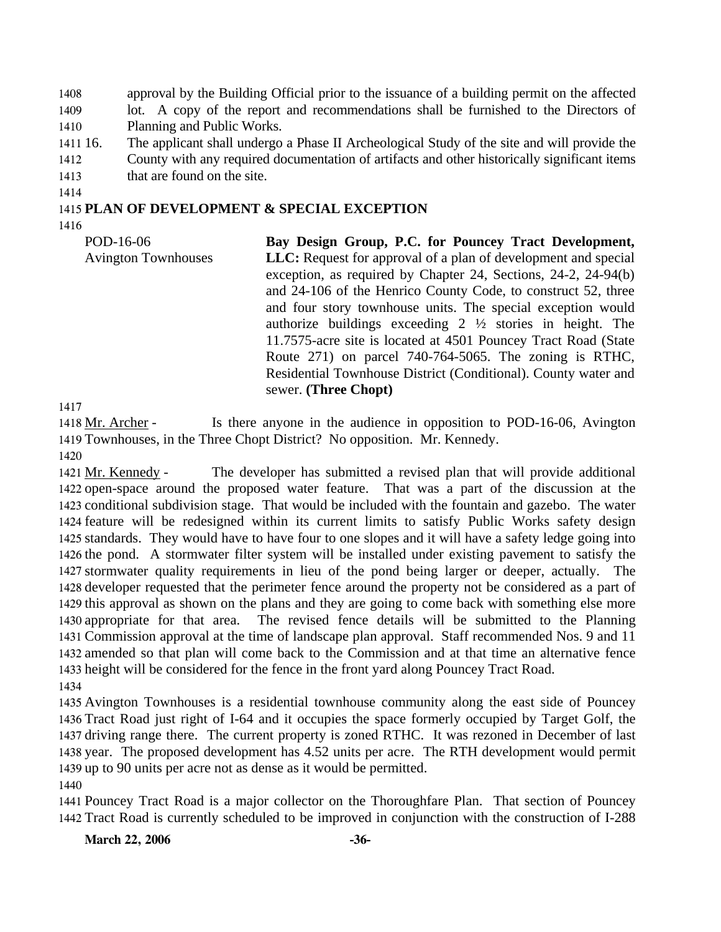1408 1409 1410 approval by the Building Official prior to the issuance of a building permit on the affected lot. A copy of the report and recommendations shall be furnished to the Directors of Planning and Public Works.

- 1411 16. 16. The applicant shall undergo a Phase II Archeological Study of the site and will provide the
- 1412 County with any required documentation of artifacts and other historically significant items
- 1413 that are found on the site.
- 1414

#### 1415 **PLAN OF DEVELOPMENT & SPECIAL EXCEPTION**

1416

| POD-16-06                  | Bay Design Group, P.C. for Pouncey Tract Development,                                                                                                                                                                                                                                                                                                                                                                                                                                                                                         |
|----------------------------|-----------------------------------------------------------------------------------------------------------------------------------------------------------------------------------------------------------------------------------------------------------------------------------------------------------------------------------------------------------------------------------------------------------------------------------------------------------------------------------------------------------------------------------------------|
| <b>Avington Townhouses</b> | <b>LLC:</b> Request for approval of a plan of development and special<br>exception, as required by Chapter 24, Sections, 24-2, 24-94(b)<br>and 24-106 of the Henrico County Code, to construct 52, three<br>and four story townhouse units. The special exception would<br>authorize buildings exceeding $2 \frac{1}{2}$ stories in height. The<br>11.7575-acre site is located at 4501 Pouncey Tract Road (State<br>Route 271) on parcel 740-764-5065. The zoning is RTHC,<br>Residential Townhouse District (Conditional). County water and |
|                            | sewer. (Three Chopt)                                                                                                                                                                                                                                                                                                                                                                                                                                                                                                                          |

1417

Is there anyone in the audience in opposition to POD-16-06, Avington 1419 Townhouses, in the Three Chopt District? No opposition. Mr. Kennedy. 1418 Mr. Archer -

1420

The developer has submitted a revised plan that will provide additional 1422 open-space around the proposed water feature. That was a part of the discussion at the 1423 conditional subdivision stage. That would be included with the fountain and gazebo. The water 1424 feature will be redesigned within its current limits to satisfy Public Works safety design 1425 standards. They would have to have four to one slopes and it will have a safety ledge going into 1426 the pond. A stormwater filter system will be installed under existing pavement to satisfy the 1427 stormwater quality requirements in lieu of the pond being larger or deeper, actually. The 1428 developer requested that the perimeter fence around the property not be considered as a part of 1429 this approval as shown on the plans and they are going to come back with something else more The revised fence details will be submitted to the Planning 1431 Commission approval at the time of landscape plan approval. Staff recommended Nos. 9 and 11 1432 amended so that plan will come back to the Commission and at that time an alternative fence 1433 height will be considered for the fence in the front yard along Pouncey Tract Road. 1421 Mr. Kennedy -1430 appropriate for that area. 1434

 Avington Townhouses is a residential townhouse community along the east side of Pouncey Tract Road just right of I-64 and it occupies the space formerly occupied by Target Golf, the driving range there. The current property is zoned RTHC. It was rezoned in December of last year. The proposed development has 4.52 units per acre. The RTH development would permit up to 90 units per acre not as dense as it would be permitted. 1440

1441 Pouncey Tract Road is a major collector on the Thoroughfare Plan. That section of Pouncey 1442 Tract Road is currently scheduled to be improved in conjunction with the construction of I-288

March 22, 2006 -36-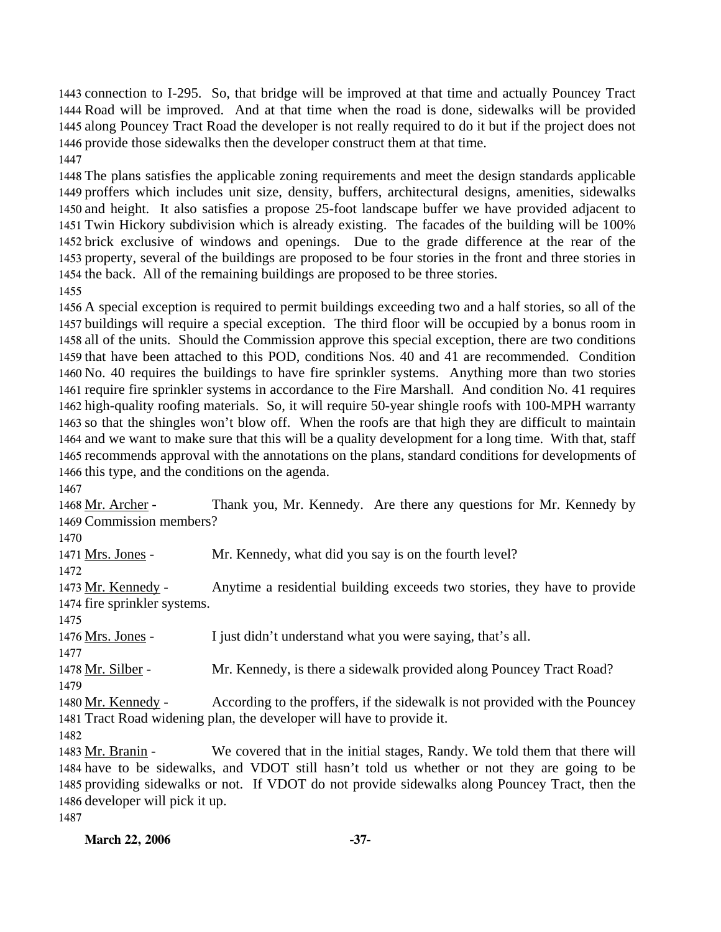connection to I-295. So, that bridge will be improved at that time and actually Pouncey Tract Road will be improved. And at that time when the road is done, sidewalks will be provided along Pouncey Tract Road the developer is not really required to do it but if the project does not provide those sidewalks then the developer construct them at that time. 

 The plans satisfies the applicable zoning requirements and meet the design standards applicable proffers which includes unit size, density, buffers, architectural designs, amenities, sidewalks and height. It also satisfies a propose 25-foot landscape buffer we have provided adjacent to Twin Hickory subdivision which is already existing. The facades of the building will be 100% brick exclusive of windows and openings. Due to the grade difference at the rear of the property, several of the buildings are proposed to be four stories in the front and three stories in the back. All of the remaining buildings are proposed to be three stories.

 A special exception is required to permit buildings exceeding two and a half stories, so all of the buildings will require a special exception. The third floor will be occupied by a bonus room in all of the units. Should the Commission approve this special exception, there are two conditions that have been attached to this POD, conditions Nos. 40 and 41 are recommended. Condition No. 40 requires the buildings to have fire sprinkler systems. Anything more than two stories require fire sprinkler systems in accordance to the Fire Marshall. And condition No. 41 requires high-quality roofing materials. So, it will require 50-year shingle roofs with 100-MPH warranty so that the shingles won't blow off. When the roofs are that high they are difficult to maintain and we want to make sure that this will be a quality development for a long time. With that, staff recommends approval with the annotations on the plans, standard conditions for developments of this type, and the conditions on the agenda.

Thank you, Mr. Kennedy. Are there any questions for Mr. Kennedy by 1469 Commission members? 1468 Mr. Archer -

1471 Mrs. Jones - Mr. Kennedy, what did you say is on the fourth level?

Anytime a residential building exceeds two stories, they have to provide 1474 fire sprinkler systems. 1473 Mr. Kennedy -

Mrs. Jones - I just didn't understand what you were saying, that's all.

Mr. Silber - Mr. Kennedy, is there a sidewalk provided along Pouncey Tract Road?

According to the proffers, if the sidewalk is not provided with the Pouncey 1481 Tract Road widening plan, the developer will have to provide it. 1480 Mr. Kennedy -

We covered that in the initial stages, Randy. We told them that there will 1484 have to be sidewalks, and VDOT still hasn't told us whether or not they are going to be 1485 providing sidewalks or not. If VDOT do not provide sidewalks along Pouncey Tract, then the 1486 developer will pick it up. 1483 Mr. Branin -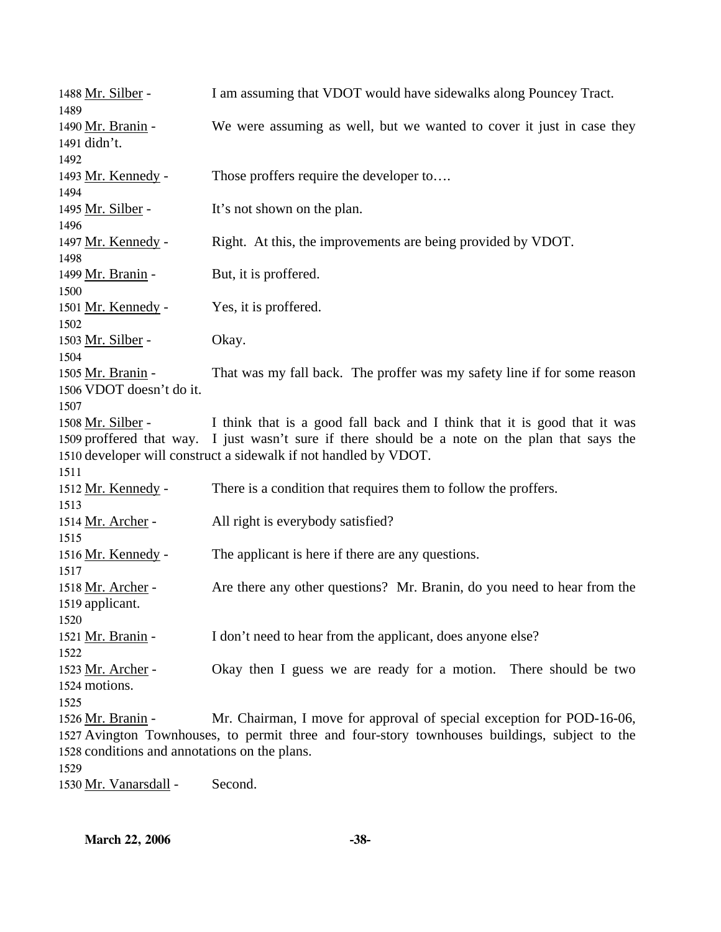| 1488 Mr. Silber -<br>1489                                                  | I am assuming that VDOT would have sidewalks along Pouncey Tract.                                                                                                                                                                               |
|----------------------------------------------------------------------------|-------------------------------------------------------------------------------------------------------------------------------------------------------------------------------------------------------------------------------------------------|
| 1490 Mr. Branin -<br>1491 didn't.                                          | We were assuming as well, but we wanted to cover it just in case they                                                                                                                                                                           |
| 1492<br>1493 Mr. Kennedy -<br>1494                                         | Those proffers require the developer to                                                                                                                                                                                                         |
| 1495 Mr. Silber -<br>1496                                                  | It's not shown on the plan.                                                                                                                                                                                                                     |
| 1497 Mr. Kennedy -<br>1498                                                 | Right. At this, the improvements are being provided by VDOT.                                                                                                                                                                                    |
| 1499 Mr. Branin -<br>1500                                                  | But, it is proffered.                                                                                                                                                                                                                           |
| 1501 Mr. Kennedy -<br>1502                                                 | Yes, it is proffered.                                                                                                                                                                                                                           |
| 1503 Mr. Silber -<br>1504                                                  | Okay.                                                                                                                                                                                                                                           |
| 1505 Mr. Branin -<br>1506 VDOT doesn't do it.<br>1507                      | That was my fall back. The proffer was my safety line if for some reason                                                                                                                                                                        |
| 1508 Mr. Silber -                                                          | I think that is a good fall back and I think that it is good that it was<br>1509 proffered that way. I just wasn't sure if there should be a note on the plan that says the<br>1510 developer will construct a sidewalk if not handled by VDOT. |
| 1511<br>1512 Mr. Kennedy -<br>1513                                         | There is a condition that requires them to follow the proffers.                                                                                                                                                                                 |
| 1514 Mr. Archer -<br>1515                                                  | All right is everybody satisfied?                                                                                                                                                                                                               |
| 1516 Mr. Kennedy -<br>1517                                                 | The applicant is here if there are any questions.                                                                                                                                                                                               |
| 1518 Mr. Archer -<br>1519 applicant.<br>1520                               | Are there any other questions? Mr. Branin, do you need to hear from the                                                                                                                                                                         |
| 1521 Mr. Branin -<br>1522                                                  | I don't need to hear from the applicant, does anyone else?                                                                                                                                                                                      |
| 1523 Mr. Archer -<br>1524 motions.<br>1525                                 | Okay then I guess we are ready for a motion. There should be two                                                                                                                                                                                |
| 1526 Mr. Branin -<br>1528 conditions and annotations on the plans.<br>1529 | Mr. Chairman, I move for approval of special exception for POD-16-06,<br>1527 Avington Townhouses, to permit three and four-story townhouses buildings, subject to the                                                                          |
| 1530 Mr. Vanarsdall -                                                      | Second.                                                                                                                                                                                                                                         |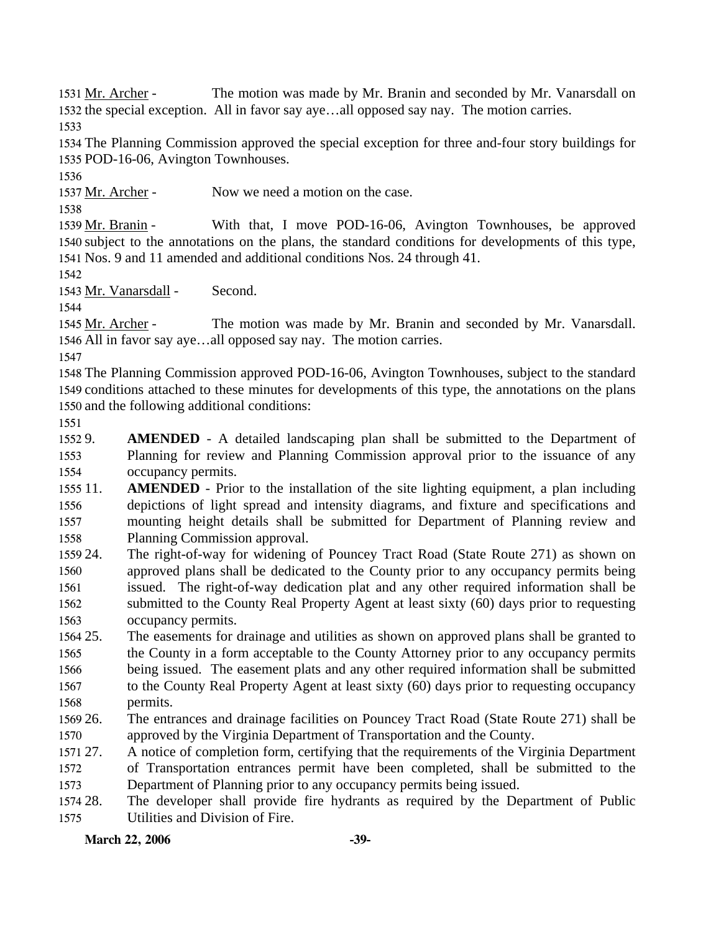The motion was made by Mr. Branin and seconded by Mr. Vanarsdall on 1532 the special exception. All in favor say aye...all opposed say nay. The motion carries. 1531 Mr. Archer -

1533

1534 The Planning Commission approved the special exception for three and-four story buildings for 1535 POD-16-06, Avington Townhouses.

1536

1537 Mr. Archer - Now we need a motion on the case.

1538

With that, I move POD-16-06, Avington Townhouses, be approved 1540 subject to the annotations on the plans, the standard conditions for developments of this type, Nos. 9 and 11 amended and additional conditions Nos. 24 through 41. 1541 1539 Mr. Branin -

1542

1543 Mr. Vanarsdall - Second.

1544

The motion was made by Mr. Branin and seconded by Mr. Vanarsdall. 1546 All in favor say aye...all opposed say nay. The motion carries. 1545 Mr. Archer -

1547

1548 The Planning Commission approved POD-16-06, Avington Townhouses, subject to the standard 1549 conditions attached to these minutes for developments of this type, the annotations on the plans 1550 and the following additional conditions:

1551

1552 9. 1553 1554 AMENDED - A detailed landscaping plan shall be submitted to the Department of Planning for review and Planning Commission approval prior to the issuance of any occupancy permits.

 $155511.$ 1556 1557 1558 **AMENDED** - Prior to the installation of the site lighting equipment, a plan including depictions of light spread and intensity diagrams, and fixture and specifications and mounting height details shall be submitted for Department of Planning review and Planning Commission approval.

1559 24. 1560 1561 1562 1563 The right-of-way for widening of Pouncey Tract Road (State Route 271) as shown on approved plans shall be dedicated to the County prior to any occupancy permits being issued. The right-of-way dedication plat and any other required information shall be submitted to the County Real Property Agent at least sixty (60) days prior to requesting occupancy permits.

1564 25. 1565 1566 1567 1568 25. The easements for drainage and utilities as shown on approved plans shall be granted to the County in a form acceptable to the County Attorney prior to any occupancy permits being issued. The easement plats and any other required information shall be submitted to the County Real Property Agent at least sixty (60) days prior to requesting occupancy permits.

- 1569 26. 1570 26. The entrances and drainage facilities on Pouncey Tract Road (State Route 271) shall be approved by the Virginia Department of Transportation and the County.
- 1571 27. 1572 1573 A notice of completion form, certifying that the requirements of the Virginia Department of Transportation entrances permit have been completed, shall be submitted to the Department of Planning prior to any occupancy permits being issued.

1574 28. 1575 28. The developer shall provide fire hydrants as required by the Department of Public Utilities and Division of Fire.

March 22, 2006 -39-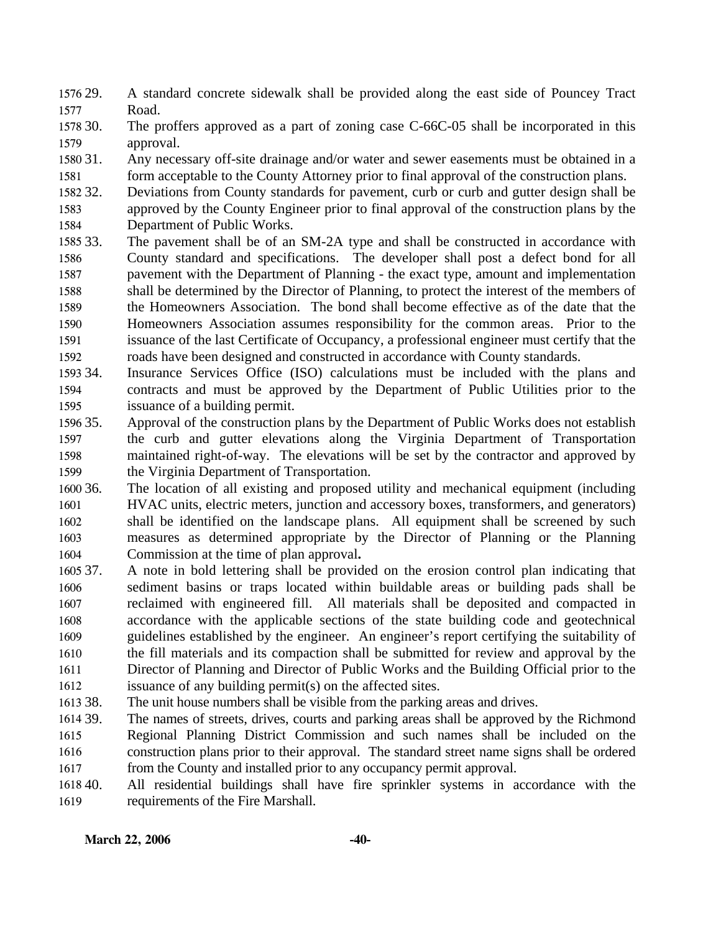1576 29. 1577 29. A standard concrete sidewalk shall be provided along the east side of Pouncey Tract Road.

1578 30. 1579 The proffers approved as a part of zoning case C-66C-05 shall be incorporated in this approval.

1580 31. 1581 Any necessary off-site drainage and/or water and sewer easements must be obtained in a form acceptable to the County Attorney prior to final approval of the construction plans.

1582 32. 1583 1584 Deviations from County standards for pavement, curb or curb and gutter design shall be approved by the County Engineer prior to final approval of the construction plans by the Department of Public Works.

- 1585 33. 1586 1587 1588 1589 1590 1591 1592 The pavement shall be of an SM-2A type and shall be constructed in accordance with County standard and specifications. The developer shall post a defect bond for all pavement with the Department of Planning - the exact type, amount and implementation shall be determined by the Director of Planning, to protect the interest of the members of the Homeowners Association. The bond shall become effective as of the date that the Homeowners Association assumes responsibility for the common areas. Prior to the issuance of the last Certificate of Occupancy, a professional engineer must certify that the roads have been designed and constructed in accordance with County standards.
- 1593 34. 1594 1595 Insurance Services Office (ISO) calculations must be included with the plans and contracts and must be approved by the Department of Public Utilities prior to the issuance of a building permit.
- 1596 35. 1597 1598 1599 35. Approval of the construction plans by the Department of Public Works does not establish the curb and gutter elevations along the Virginia Department of Transportation maintained right-of-way. The elevations will be set by the contractor and approved by the Virginia Department of Transportation.
- 1600 36 1601 1602 1603 1604 The location of all existing and proposed utility and mechanical equipment (including HVAC units, electric meters, junction and accessory boxes, transformers, and generators) shall be identified on the landscape plans. All equipment shall be screened by such measures as determined appropriate by the Director of Planning or the Planning Commission at the time of plan approval**.**
- 1605 37. 1606 1607 1608 1609 1610 1611 1612 37. A note in bold lettering shall be provided on the erosion control plan indicating that sediment basins or traps located within buildable areas or building pads shall be reclaimed with engineered fill. All materials shall be deposited and compacted in accordance with the applicable sections of the state building code and geotechnical guidelines established by the engineer. An engineer's report certifying the suitability of the fill materials and its compaction shall be submitted for review and approval by the Director of Planning and Director of Public Works and the Building Official prior to the issuance of any building permit(s) on the affected sites.
- 1613 38. The unit house numbers shall be visible from the parking areas and drives.
- 1614 39. 1615 1616 1617 The names of streets, drives, courts and parking areas shall be approved by the Richmond Regional Planning District Commission and such names shall be included on the construction plans prior to their approval. The standard street name signs shall be ordered from the County and installed prior to any occupancy permit approval.
- 1618 40. 1619 All residential buildings shall have fire sprinkler systems in accordance with the requirements of the Fire Marshall.

#### March 22, 2006 -40-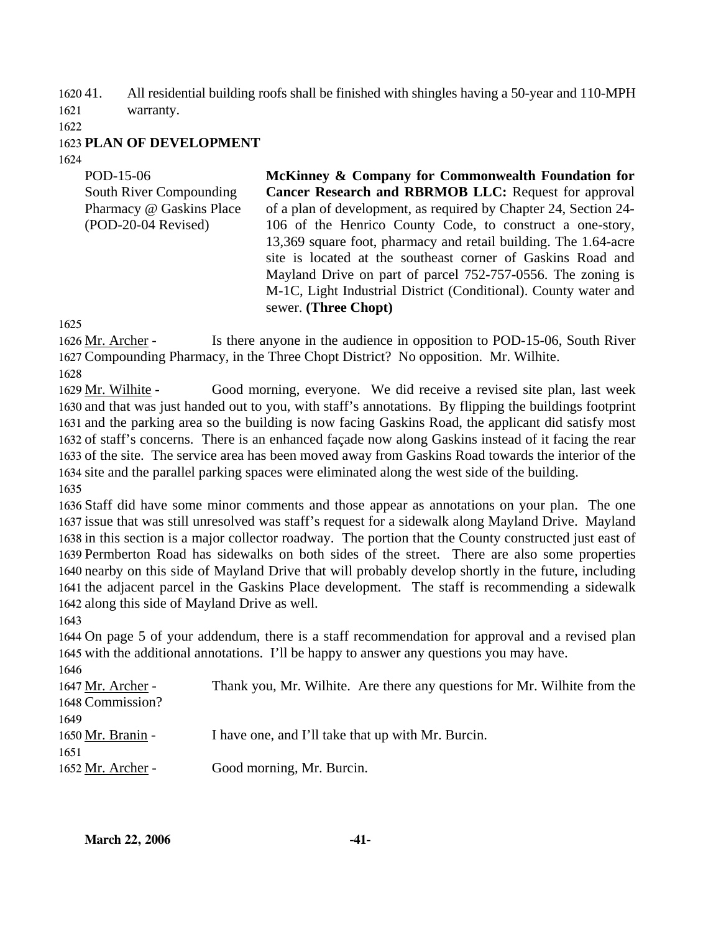$162041$ . 1621 41. All residential building roofs shall be finished with shingles having a 50-year and 110-MPH warranty.

1622

#### 1623 **PLAN OF DEVELOPMENT**

1624

| POD-15-06<br>South River Compounding<br>Pharmacy @ Gaskins Place<br>(POD-20-04 Revised) | McKinney & Company for Commonwealth Foundation for<br><b>Cancer Research and RBRMOB LLC:</b> Request for approval<br>of a plan of development, as required by Chapter 24, Section 24-<br>106 of the Henrico County Code, to construct a one-story,<br>13,369 square foot, pharmacy and retail building. The 1.64-acre<br>site is located at the southeast corner of Gaskins Road and<br>Mayland Drive on part of parcel 752-757-0556. The zoning is<br>M-1C, Light Industrial District (Conditional). County water and<br>sewer. (Three Chopt) |
|-----------------------------------------------------------------------------------------|------------------------------------------------------------------------------------------------------------------------------------------------------------------------------------------------------------------------------------------------------------------------------------------------------------------------------------------------------------------------------------------------------------------------------------------------------------------------------------------------------------------------------------------------|
|                                                                                         |                                                                                                                                                                                                                                                                                                                                                                                                                                                                                                                                                |

1625

Is there anyone in the audience in opposition to POD-15-06, South River 1627 Compounding Pharmacy, in the Three Chopt District? No opposition. Mr. Wilhite. 1626 Mr. Archer -

1628

Good morning, everyone. We did receive a revised site plan, last week 1630 and that was just handed out to you, with staff's annotations. By flipping the buildings footprint 1631 and the parking area so the building is now facing Gaskins Road, the applicant did satisfy most 1632 of staff's concerns. There is an enhanced façade now along Gaskins instead of it facing the rear 1633 of the site. The service area has been moved away from Gaskins Road towards the interior of the 1634 site and the parallel parking spaces were eliminated along the west side of the building. 1629 Mr. Wilhite -1635

 Staff did have some minor comments and those appear as annotations on your plan. The one issue that was still unresolved was staff's request for a sidewalk along Mayland Drive. Mayland in this section is a major collector roadway. The portion that the County constructed just east of Permberton Road has sidewalks on both sides of the street. There are also some properties nearby on this side of Mayland Drive that will probably develop shortly in the future, including the adjacent parcel in the Gaskins Place development. The staff is recommending a sidewalk along this side of Mayland Drive as well.

1643

1644 On page 5 of your addendum, there is a staff recommendation for approval and a revised plan 1645 with the additional annotations. I'll be happy to answer any questions you may have.  $1646$ 

| Thank you, Mr. Wilhite. Are there any questions for Mr. Wilhite from the |
|--------------------------------------------------------------------------|
|                                                                          |
|                                                                          |
| I have one, and I'll take that up with Mr. Burcin.                       |
|                                                                          |
| Good morning, Mr. Burcin.                                                |
|                                                                          |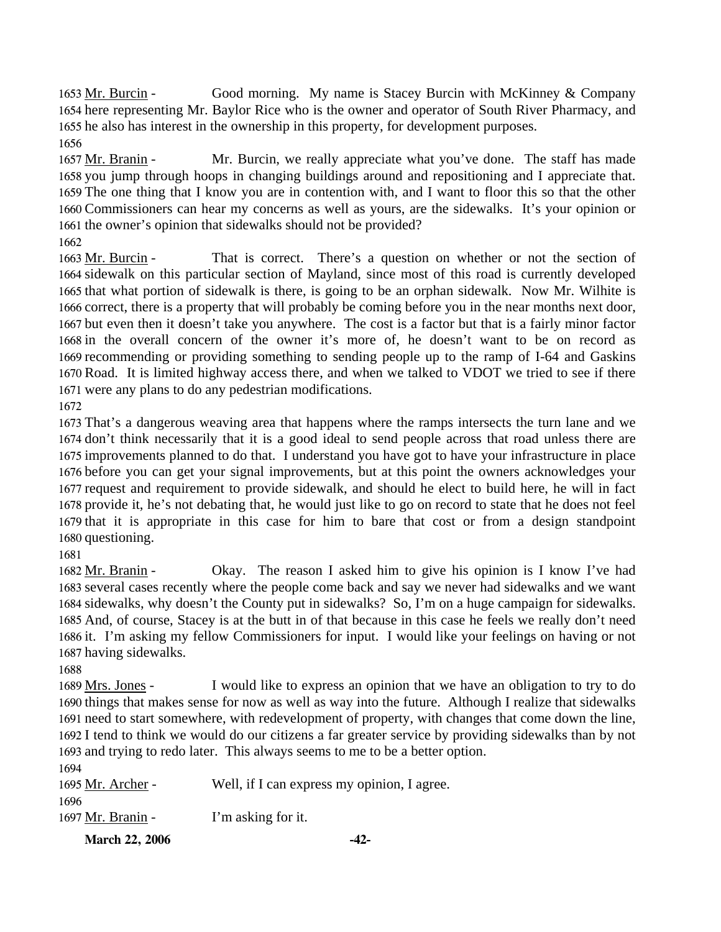Good morning. My name is Stacey Burcin with McKinney  $& Company$ 1654 here representing Mr. Baylor Rice who is the owner and operator of South River Pharmacy, and 1655 he also has interest in the ownership in this property, for development purposes. 1653 Mr. Burcin -1656

Mr. Burcin, we really appreciate what you've done. The staff has made 1658 you jump through hoops in changing buildings around and repositioning and I appreciate that. 1659 The one thing that I know you are in contention with, and I want to floor this so that the other 1660 Commissioners can hear my concerns as well as yours, are the sidewalks. It's your opinion or 1661 the owner's opinion that sidewalks should not be provided? 1657 Mr. Branin -

1662

That is correct. There's a question on whether or not the section of 1664 sidewalk on this particular section of Mayland, since most of this road is currently developed 1665 that what portion of sidewalk is there, is going to be an orphan sidewalk. Now Mr. Wilhite is 1666 correct, there is a property that will probably be coming before you in the near months next door, 1667 but even then it doesn't take you anywhere. The cost is a factor but that is a fairly minor factor 1668 in the overall concern of the owner it's more of, he doesn't want to be on record as 1669 recommending or providing something to sending people up to the ramp of I-64 and Gaskins 1670 Road. It is limited highway access there, and when we talked to VDOT we tried to see if there 1671 were any plans to do any pedestrian modifications. 1663 Mr. Burcin -

1672

 That's a dangerous weaving area that happens where the ramps intersects the turn lane and we don't think necessarily that it is a good ideal to send people across that road unless there are improvements planned to do that. I understand you have got to have your infrastructure in place before you can get your signal improvements, but at this point the owners acknowledges your request and requirement to provide sidewalk, and should he elect to build here, he will in fact provide it, he's not debating that, he would just like to go on record to state that he does not feel that it is appropriate in this case for him to bare that cost or from a design standpoint questioning.

1681

Okay. The reason I asked him to give his opinion is I know I've had 1683 several cases recently where the people come back and say we never had sidewalks and we want 1684 sidewalks, why doesn't the County put in sidewalks? So, I'm on a huge campaign for sidewalks. 1685 And, of course, Stacey is at the butt in of that because in this case he feels we really don't need 1686 it. I'm asking my fellow Commissioners for input. I would like your feelings on having or not 1687 having sidewalks. 1682 Mr. Branin -

1688

I would like to express an opinion that we have an obligation to try to do 1690 things that makes sense for now as well as way into the future. Although I realize that sidewalks 1691 need to start somewhere, with redevelopment of property, with changes that come down the line, 1692 I tend to think we would do our citizens a far greater service by providing sidewalks than by not 1693 and trying to redo later. This always seems to me to be a better option. 1689 Mrs. Jones - $1694$ 

| 1094              |                                             |
|-------------------|---------------------------------------------|
| 1695 Mr. Archer - | Well, if I can express my opinion, I agree. |
| 1696              |                                             |
| 1697 Mr. Branin - | I'm asking for it.                          |
|                   |                                             |

**March 22, 2006 -42-**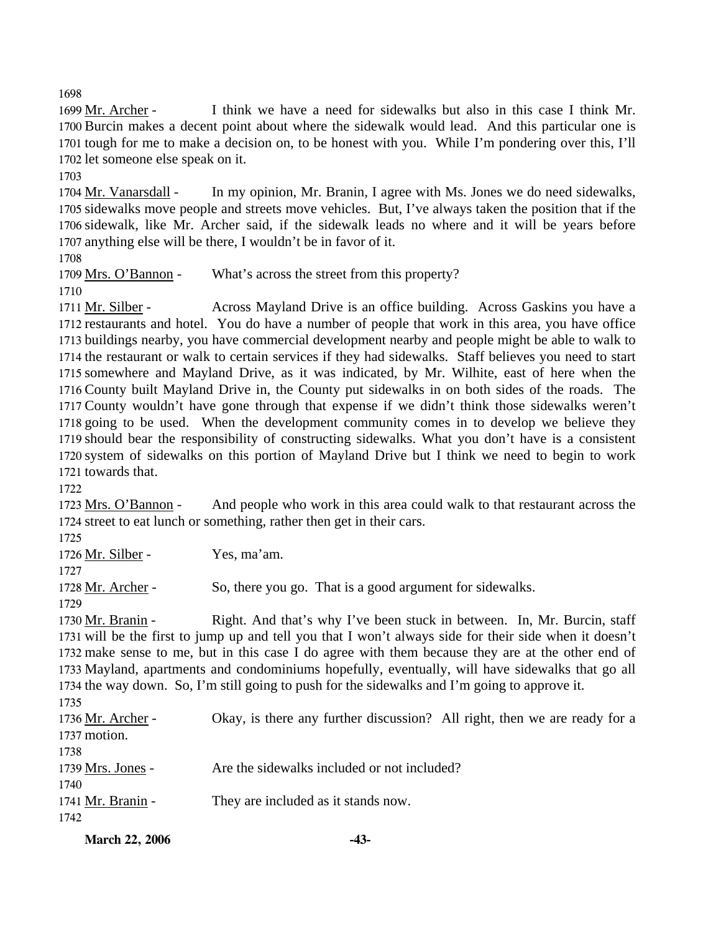1698

I think we have a need for sidewalks but also in this case I think Mr. 1700 Burcin makes a decent point about where the sidewalk would lead. And this particular one is 1701 tough for me to make a decision on, to be honest with you. While I'm pondering over this, I'll 1702 let someone else speak on it. 1699 Mr. Archer -

1703

In my opinion, Mr. Branin, I agree with Ms. Jones we do need sidewalks, 1705 sidewalks move people and streets move vehicles. But, I've always taken the position that if the 1706 sidewalk, like Mr. Archer said, if the sidewalk leads no where and it will be years before 1707 anything else will be there, I wouldn't be in favor of it. 1704 Mr. Vanarsdall -

1708

1709 Mrs. O'Bannon - What's across the street from this property?

1710

Across Mayland Drive is an office building. Across Gaskins you have a 1712 restaurants and hotel. You do have a number of people that work in this area, you have office 1713 buildings nearby, you have commercial development nearby and people might be able to walk to 1714 the restaurant or walk to certain services if they had sidewalks. Staff believes you need to start 1715 somewhere and Mayland Drive, as it was indicated, by Mr. Wilhite, east of here when the 1716 County built Mayland Drive in, the County put sidewalks in on both sides of the roads. The 1717 County wouldn't have gone through that expense if we didn't think those sidewalks weren't 1718 going to be used. When the development community comes in to develop we believe they 1719 should bear the responsibility of constructing sidewalks. What you don't have is a consistent 1720 system of sidewalks on this portion of Mayland Drive but I think we need to begin to work 1721 towards that. 1711 Mr. Silber -

1722

And people who work in this area could walk to that restaurant across the 1724 street to eat lunch or something, rather then get in their cars. 1723 Mrs. O'Bannon -

1725

1726 Mr. Silber - Yes, ma'am.

1727

1728 Mr. Archer - So, there you go. That is a good argument for sidewalks.

1729

Right. And that's why I've been stuck in between. In, Mr. Burcin, staff 1731 will be the first to jump up and tell you that I won't always side for their side when it doesn't 1732 make sense to me, but in this case I do agree with them because they are at the other end of 1733 Mayland, apartments and condominiums hopefully, eventually, will have sidewalks that go all 1734 the way down. So, I'm still going to push for the sidewalks and I'm going to approve it. 1730 Mr. Branin -

1735

| 11.33             |                                                                           |
|-------------------|---------------------------------------------------------------------------|
| 1736 Mr. Archer - | Okay, is there any further discussion? All right, then we are ready for a |
| 1737 motion.      |                                                                           |
| 1738              |                                                                           |
| 1739 Mrs. Jones - | Are the sidewalks included or not included?                               |
| 1740              |                                                                           |
| 1741 Mr. Branin - | They are included as it stands now.                                       |
| 1742              |                                                                           |
|                   |                                                                           |

| <b>March 22, 2006</b> | -43- |
|-----------------------|------|
|                       |      |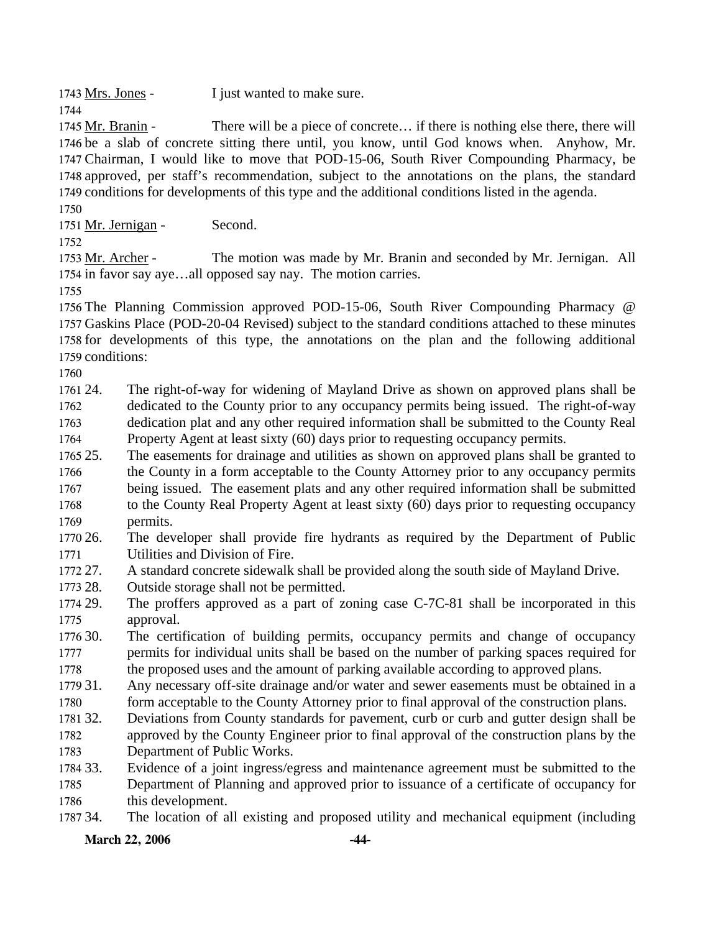1743 Mrs. Jones - I just wanted to make sure.

1744

There will be a piece of concrete... if there is nothing else there, there will 1746 be a slab of concrete sitting there until, you know, until God knows when. Anyhow, Mr. 1747 Chairman, I would like to move that POD-15-06, South River Compounding Pharmacy, be 1748 approved, per staff's recommendation, subject to the annotations on the plans, the standard 1749 conditions for developments of this type and the additional conditions listed in the agenda. 1745 Mr. Branin -

1750

1751 Mr. Jernigan - Second.

1752

The motion was made by Mr. Branin and seconded by Mr. Jernigan. All 1754 in favor say aye...all opposed say nay. The motion carries. 1753 Mr. Archer -

1755

 The Planning Commission approved POD-15-06, South River Compounding Pharmacy @ Gaskins Place (POD-20-04 Revised) subject to the standard conditions attached to these minutes for developments of this type, the annotations on the plan and the following additional conditions:

1760

1761 24. 1762 1763 1764 The right-of-way for widening of Mayland Drive as shown on approved plans shall be dedicated to the County prior to any occupancy permits being issued. The right-of-way dedication plat and any other required information shall be submitted to the County Real Property Agent at least sixty (60) days prior to requesting occupancy permits.

1765 25. 1766 1767 1768 1769 The easements for drainage and utilities as shown on approved plans shall be granted to the County in a form acceptable to the County Attorney prior to any occupancy permits being issued. The easement plats and any other required information shall be submitted to the County Real Property Agent at least sixty (60) days prior to requesting occupancy permits.

1770 26. 1771 The developer shall provide fire hydrants as required by the Department of Public Utilities and Division of Fire.

1772 27. A standard concrete sidewalk shall be provided along the south side of Mayland Drive.

1773 28. Outside storage shall not be permitted.

1774 29. 1775 The proffers approved as a part of zoning case C-7C-81 shall be incorporated in this approval.

1776 30. 1777 1778 The certification of building permits, occupancy permits and change of occupancy permits for individual units shall be based on the number of parking spaces required for the proposed uses and the amount of parking available according to approved plans.

1779 31. 1780 Any necessary off-site drainage and/or water and sewer easements must be obtained in a form acceptable to the County Attorney prior to final approval of the construction plans.

1781 32. 1782 Deviations from County standards for pavement, curb or curb and gutter design shall be approved by the County Engineer prior to final approval of the construction plans by the

1783 Department of Public Works.

1784 33. 1785 1786 Evidence of a joint ingress/egress and maintenance agreement must be submitted to the Department of Planning and approved prior to issuance of a certificate of occupancy for this development.

1787 34. 34. The location of all existing and proposed utility and mechanical equipment (including

**March 22, 2006 -44-**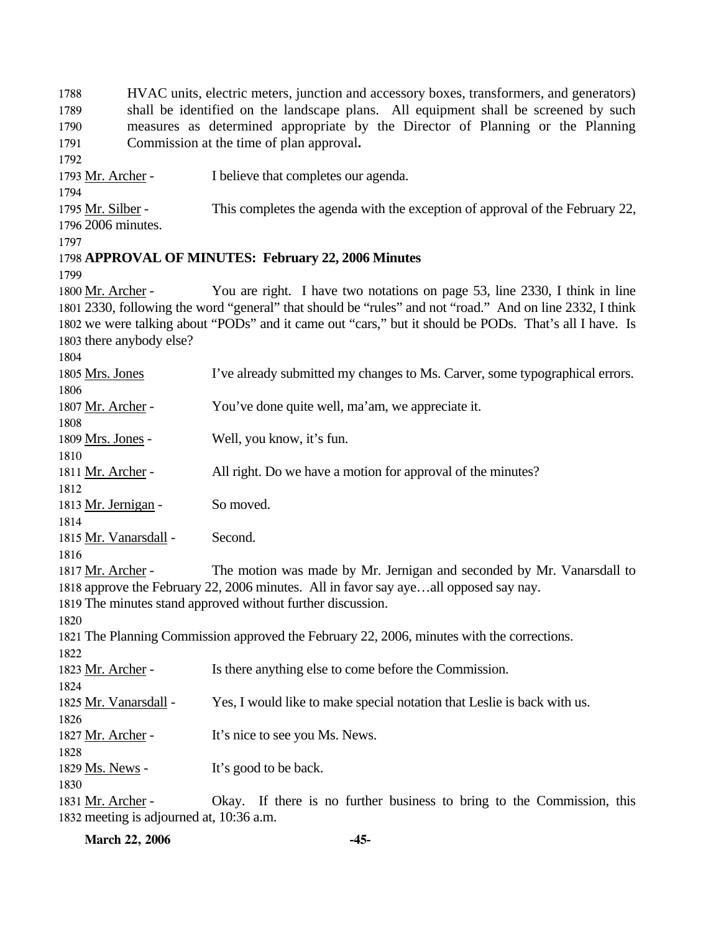1788 1789 1790 1791 1792 HVAC units, electric meters, junction and accessory boxes, transformers, and generators) shall be identified on the landscape plans. All equipment shall be screened by such measures as determined appropriate by the Director of Planning or the Planning Commission at the time of plan approval**.**  1793 Mr. Archer - I believe that completes our agenda. 1794 This completes the agenda with the exception of approval of the February 22, 2006 minutes. 1796 1795 Mr. Silber -1797 1798 **APPROVAL OF MINUTES: February 22, 2006 Minutes**  1799 You are right. I have two notations on page 53, line 2330, I think in line 1801 2330, following the word "general" that should be "rules" and not "road." And on line 2332, I think 1802 we were talking about "PODs" and it came out "cars," but it should be PODs. That's all I have. Is 1803 there anybody else? 1800 Mr. Archer -1804 1805 Mrs. Jones I've already submitted my changes to Ms. Carver, some typographical errors. 1806 1807 Mr. Archer - You've done quite well, ma'am, we appreciate it. 1808 1809 Mrs. Jones - Well, you know, it's fun. 1810 1811 Mr. Archer - All right. Do we have a motion for approval of the minutes? 1812 1813 Mr. Jernigan - So moved. 1814 1815 Mr. Vanarsdall - Second. 1816 The motion was made by Mr. Jernigan and seconded by Mr. Vanarsdall to 1818 approve the February 22, 2006 minutes. All in favor say aye...all opposed say nay. 1817 Mr. Archer -1819 The minutes stand approved without further discussion. 1820 1821 The Planning Commission approved the February 22, 2006, minutes with the corrections. 1822 1823 Mr. Archer - Is there anything else to come before the Commission. 1824 1825 Mr. Vanarsdall - Yes, I would like to make special notation that Leslie is back with us. 1826 1827 Mr. Archer - It's nice to see you Ms. News. 1828 1829 Ms. News - It's good to be back. 1830 Okay. If there is no further business to bring to the Commission, this 1832 meeting is adjourned at, 10:36 a.m. 1831 Mr. Archer -

**March 22, 2006 -45-**